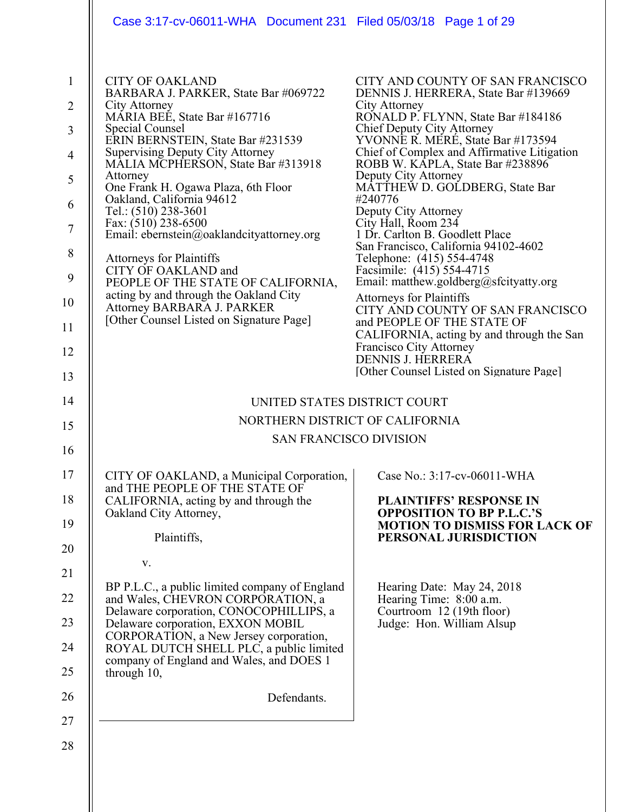| Case 3:17-cv-06011-WHA  Document 231  Filed 05/03/18  Page 1 of 29                                                                                                                                                                                                                                                                                                                                                                                                                                                                                                                                                                                       |                                                                                                                                                                                                                                                                                                                                                                                                                                                                                                                                                                                                                                                                                                                                                                                                                                        |
|----------------------------------------------------------------------------------------------------------------------------------------------------------------------------------------------------------------------------------------------------------------------------------------------------------------------------------------------------------------------------------------------------------------------------------------------------------------------------------------------------------------------------------------------------------------------------------------------------------------------------------------------------------|----------------------------------------------------------------------------------------------------------------------------------------------------------------------------------------------------------------------------------------------------------------------------------------------------------------------------------------------------------------------------------------------------------------------------------------------------------------------------------------------------------------------------------------------------------------------------------------------------------------------------------------------------------------------------------------------------------------------------------------------------------------------------------------------------------------------------------------|
| <b>CITY OF OAKLAND</b><br>BARBARA J. PARKER, State Bar #069722<br>City Attorney<br>MÁRIA BEÉ, State Bar #167716<br>Special Counsel<br>ERIN BERNSTEIN, State Bar #231539<br><b>Supervising Deputy City Attorney</b><br>MALIA MCPHERSON, State Bar #313918<br>Attorney<br>One Frank H. Ogawa Plaza, 6th Floor<br>Oakland, California 94612<br>Tel.: (510) 238-3601<br>Fax: (510) 238-6500<br>Email: ebernstein@oaklandcityattorney.org<br><b>Attorneys for Plaintiffs</b><br>CITY OF OAKLAND and<br>PEOPLE OF THE STATE OF CALIFORNIA,<br>acting by and through the Oakland City<br>Attorney BARBARA J. PARKER<br>[Other Counsel Listed on Signature Page] | CITY AND COUNTY OF SAN FRANCISCO<br>DENNIS J. HERRERA, State Bar #139669<br>City Attorney<br>RONALD P. FLYNN, State Bar #184186<br>Chief Deputy City Attorney<br>YVONNE R. MERE, State Bar #173594<br>Chief of Complex and Affirmative Litigation<br>ROBB W. KĀPLA, State Bar #238896<br>Deputy City Attorney<br>MATTHEW D. GOLDBERG, State Bar<br>#240776<br>Deputy City Attorney<br>City Hall, Room 234<br>1 Dr. Carlton B. Goodlett Place<br>San Francisco, California 94102-4602<br>Telephone: (415) 554-4748<br>Facsimile: (415) 554-4715<br>Email: matthew.goldberg@sfcityatty.org<br><b>Attorneys for Plaintiffs</b><br>CITY AND COUNTY OF SAN FRANCISCO<br>and PEOPLE OF THE STATE OF<br>CALIFORNIA, acting by and through the San<br>Francisco City Attorney<br>DENNIS J. HERRERA<br>[Other Counsel Listed on Signature Page] |
| UNITED STATES DISTRICT COURT                                                                                                                                                                                                                                                                                                                                                                                                                                                                                                                                                                                                                             |                                                                                                                                                                                                                                                                                                                                                                                                                                                                                                                                                                                                                                                                                                                                                                                                                                        |
| NORTHERN DISTRICT OF CALIFORNIA                                                                                                                                                                                                                                                                                                                                                                                                                                                                                                                                                                                                                          |                                                                                                                                                                                                                                                                                                                                                                                                                                                                                                                                                                                                                                                                                                                                                                                                                                        |
| <b>SAN FRANCISCO DIVISION</b>                                                                                                                                                                                                                                                                                                                                                                                                                                                                                                                                                                                                                            |                                                                                                                                                                                                                                                                                                                                                                                                                                                                                                                                                                                                                                                                                                                                                                                                                                        |
| CITY OF OAKLAND, a Municipal Corporation,<br>and THE PEOPLE OF THE STATE OF<br>CALIFORNIA, acting by and through the<br>Oakland City Attorney,<br>Plaintiffs,<br>V.<br>BP P.L.C., a public limited company of England                                                                                                                                                                                                                                                                                                                                                                                                                                    | Case No.: 3:17-cv-06011-WHA<br><b>PLAINTIFFS' RESPONSE IN</b><br><b>OPPOSITION TO BP P.L.C.'S</b><br><b>MOTION TO DISMISS FOR LACK OF</b><br>PERSONAL JURISDICTION<br>Hearing Date: May 24, 2018                                                                                                                                                                                                                                                                                                                                                                                                                                                                                                                                                                                                                                       |
| and Wales, CHEVRON CORPORATION, a<br>Delaware corporation, CONOCOPHILLIPS, a<br>Delaware corporation, EXXON MOBIL<br>CORPORATION, a New Jersey corporation,<br>ROYAL DUTCH SHELL PLC, a public limited<br>company of England and Wales, and DOES 1<br>through 10,                                                                                                                                                                                                                                                                                                                                                                                        | Hearing Time: 8:00 a.m.<br>Courtroom 12 (19th floor)<br>Judge: Hon. William Alsup                                                                                                                                                                                                                                                                                                                                                                                                                                                                                                                                                                                                                                                                                                                                                      |
| Defendants.                                                                                                                                                                                                                                                                                                                                                                                                                                                                                                                                                                                                                                              |                                                                                                                                                                                                                                                                                                                                                                                                                                                                                                                                                                                                                                                                                                                                                                                                                                        |
|                                                                                                                                                                                                                                                                                                                                                                                                                                                                                                                                                                                                                                                          |                                                                                                                                                                                                                                                                                                                                                                                                                                                                                                                                                                                                                                                                                                                                                                                                                                        |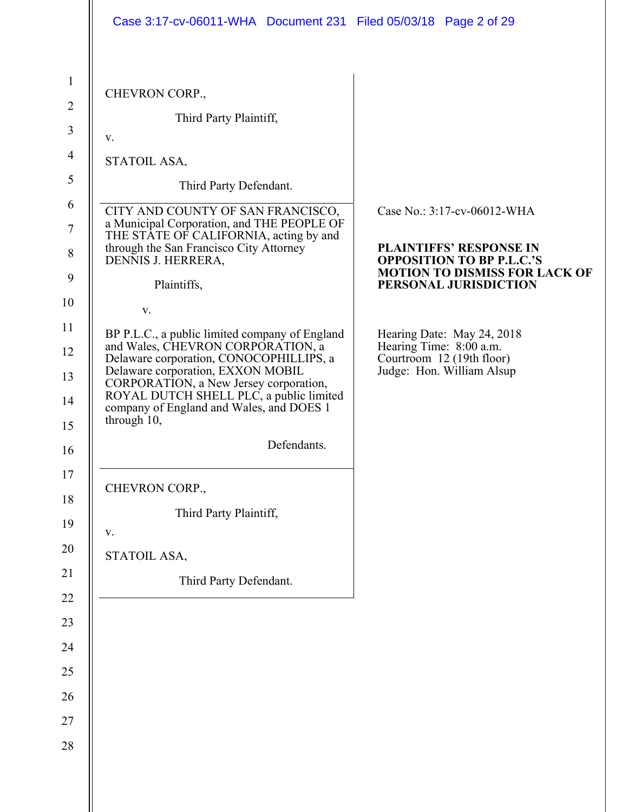|                | Case 3:17-cv-06011-WHA  Document 231  Filed 05/03/18  Page 2 of 29                                                                                                                                                           |                                                                                                            |
|----------------|------------------------------------------------------------------------------------------------------------------------------------------------------------------------------------------------------------------------------|------------------------------------------------------------------------------------------------------------|
| $\mathbf{1}$   |                                                                                                                                                                                                                              |                                                                                                            |
| $\overline{2}$ | CHEVRON CORP.,                                                                                                                                                                                                               |                                                                                                            |
| $\mathfrak{Z}$ | Third Party Plaintiff,                                                                                                                                                                                                       |                                                                                                            |
| $\overline{4}$ | V.                                                                                                                                                                                                                           |                                                                                                            |
| 5              | STATOIL ASA,                                                                                                                                                                                                                 |                                                                                                            |
| 6              | Third Party Defendant.                                                                                                                                                                                                       |                                                                                                            |
| 7              | CITY AND COUNTY OF SAN FRANCISCO,<br>a Municipal Corporation, and THE PEOPLE OF                                                                                                                                              | Case No.: 3:17-cv-06012-WHA                                                                                |
| 8<br>9         | THE STATE OF CALIFORNIA, acting by and<br>through the San Francisco City Attorney<br>DENNIS J. HERRERA,                                                                                                                      | <b>PLAINTIFFS' RESPONSE IN</b><br><b>OPPOSITION TO BP P.L.C.'S</b><br><b>MOTION TO DISMISS FOR LACK OF</b> |
|                | Plaintiffs,                                                                                                                                                                                                                  | PERSONAL JURISDICTION                                                                                      |
|                | V.                                                                                                                                                                                                                           |                                                                                                            |
|                | BP P.L.C., a public limited company of England<br>and Wales, CHEVRON CORPORATION, a                                                                                                                                          | Hearing Date: May 24, 2018<br>Hearing Time: 8:00 a.m.                                                      |
|                | Delaware corporation, CONOCOPHILLIPS, a<br>Delaware corporation, EXXON MOBIL<br>CORPORATION, a New Jersey corporation,<br>ROYAL DUTCH SHELL PLC, a public limited<br>company of England and Wales, and DOES 1<br>through 10, | Courtroom 12 (19th floor)<br>Judge: Hon. William Alsup                                                     |
|                | Defendants.                                                                                                                                                                                                                  |                                                                                                            |
|                | CHEVRON CORP.,                                                                                                                                                                                                               |                                                                                                            |
|                | Third Party Plaintiff,                                                                                                                                                                                                       |                                                                                                            |
|                | V.                                                                                                                                                                                                                           |                                                                                                            |
|                | STATOIL ASA,                                                                                                                                                                                                                 |                                                                                                            |
|                | Third Party Defendant.                                                                                                                                                                                                       |                                                                                                            |
|                |                                                                                                                                                                                                                              |                                                                                                            |
|                |                                                                                                                                                                                                                              |                                                                                                            |
| 24<br>25       |                                                                                                                                                                                                                              |                                                                                                            |
|                |                                                                                                                                                                                                                              |                                                                                                            |
| 26<br>27       |                                                                                                                                                                                                                              |                                                                                                            |
|                |                                                                                                                                                                                                                              |                                                                                                            |
| 28             |                                                                                                                                                                                                                              |                                                                                                            |
|                |                                                                                                                                                                                                                              |                                                                                                            |
|                |                                                                                                                                                                                                                              |                                                                                                            |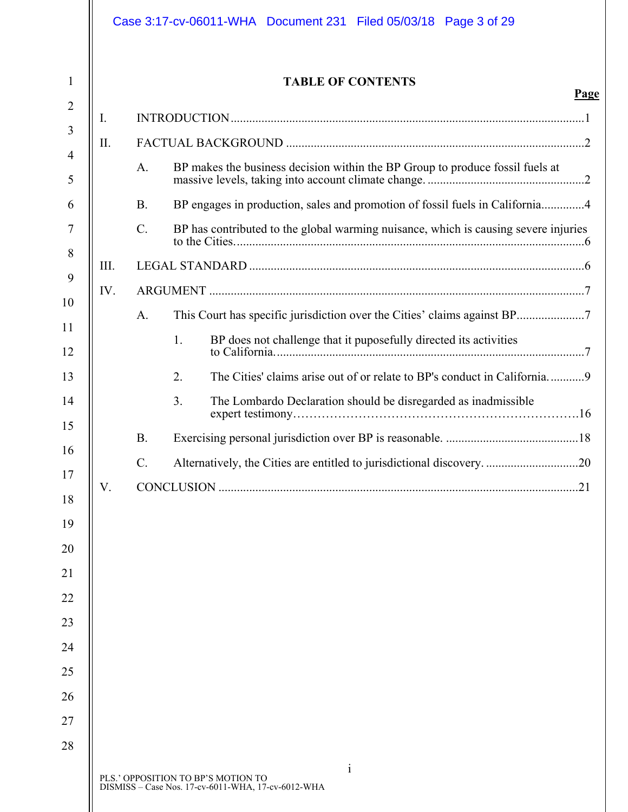|      |                 | <b>TABLE OF CONTENTS</b>                                                            |
|------|-----------------|-------------------------------------------------------------------------------------|
| I.   |                 |                                                                                     |
| Π.   |                 |                                                                                     |
|      | A.              | BP makes the business decision within the BP Group to produce fossil fuels at       |
|      | <b>B.</b>       | BP engages in production, sales and promotion of fossil fuels in California4        |
|      | $\mathcal{C}$ . | BP has contributed to the global warming nuisance, which is causing severe injuries |
| III. |                 |                                                                                     |
| IV.  |                 |                                                                                     |
|      | A.              |                                                                                     |
|      |                 | 1.<br>BP does not challenge that it puposefully directed its activities             |
|      |                 | 2.                                                                                  |
|      |                 | 3.<br>The Lombardo Declaration should be disregarded as inadmissible                |
|      | <b>B.</b>       |                                                                                     |
|      |                 | Alternatively, the Cities are entitled to jurisdictional discovery. 20              |
| V.   |                 |                                                                                     |
|      |                 |                                                                                     |
|      |                 |                                                                                     |
|      |                 |                                                                                     |
|      |                 |                                                                                     |
|      |                 |                                                                                     |
|      |                 |                                                                                     |
|      |                 |                                                                                     |
|      |                 |                                                                                     |
|      |                 |                                                                                     |
|      |                 |                                                                                     |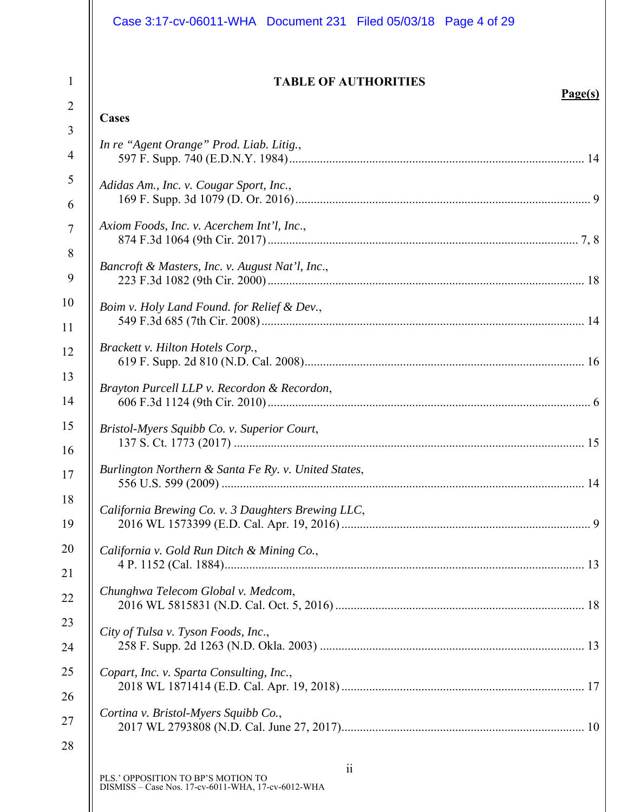|                     | Case 3:17-cv-06011-WHA  Document 231  Filed 05/03/18  Page 4 of 29                                     |
|---------------------|--------------------------------------------------------------------------------------------------------|
| $\mathbf{1}$        | <b>TABLE OF AUTHORITIES</b><br>Page(s)                                                                 |
| $\overline{2}$      | Cases                                                                                                  |
| 3<br>$\overline{4}$ | In re "Agent Orange" Prod. Liab. Litig.,                                                               |
| 5<br>6              | Adidas Am., Inc. v. Cougar Sport, Inc.,                                                                |
| $\tau$<br>8         | Axiom Foods, Inc. v. Acerchem Int'l, Inc.,                                                             |
|                     | Bancroft & Masters, Inc. v. August Nat'l, Inc.,                                                        |
|                     | Boim v. Holy Land Found. for Relief & Dev.,                                                            |
|                     | Brackett v. Hilton Hotels Corp.,                                                                       |
| 14                  | Brayton Purcell LLP v. Recordon & Recordon,                                                            |
| 15<br>16            | Bristol-Myers Squibb Co. v. Superior Court,                                                            |
|                     | Burlington Northern & Santa Fe Ry. v. United States,                                                   |
|                     | California Brewing Co. v. 3 Daughters Brewing LLC,                                                     |
|                     | California v. Gold Run Ditch & Mining Co.,                                                             |
|                     | Chunghwa Telecom Global v. Medcom,                                                                     |
|                     | City of Tulsa v. Tyson Foods, Inc.,                                                                    |
|                     | Copart, Inc. v. Sparta Consulting, Inc.,                                                               |
|                     | Cortina v. Bristol-Myers Squibb Co.,                                                                   |
| 28                  | $\ddot{i}$<br>PLS.' OPPOSITION TO BP'S MOTION TO<br>DISMISS - Case Nos. 17-cv-6011-WHA, 17-cv-6012-WHA |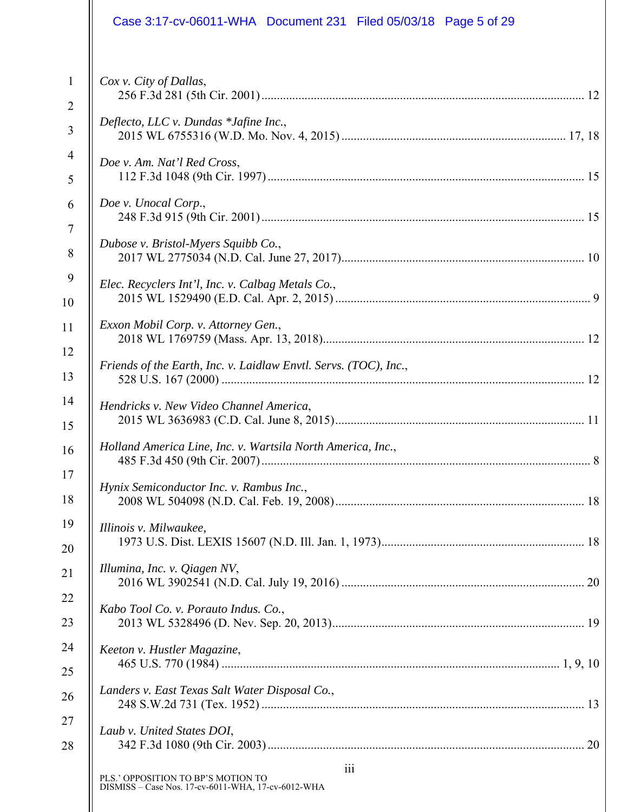|                | Case 3:17-cv-06011-WHA  Document 231  Filed 05/03/18  Page 5 of 29                              |
|----------------|-------------------------------------------------------------------------------------------------|
| $\mathbf{1}$   | Cox v. City of Dallas,                                                                          |
| $\overline{2}$ |                                                                                                 |
| 3              | Deflecto, LLC v. Dundas *Jafine Inc.,                                                           |
| 4              | Doe v. Am. Nat'l Red Cross,                                                                     |
| 5              |                                                                                                 |
| 6              | Doe v. Unocal Corp.,                                                                            |
| $\tau$         | Dubose v. Bristol-Myers Squibb Co.,                                                             |
| 8              |                                                                                                 |
| 9              | Elec. Recyclers Int'l, Inc. v. Calbag Metals Co.,                                               |
| 10             |                                                                                                 |
| 11             | Exxon Mobil Corp. v. Attorney Gen.,                                                             |
| 12             | Friends of the Earth, Inc. v. Laidlaw Envtl. Servs. (TOC), Inc.,                                |
| 13             |                                                                                                 |
| 14             | Hendricks v. New Video Channel America,                                                         |
| 15             |                                                                                                 |
| 16             | Holland America Line, Inc. v. Wartsila North America, Inc.,<br>$\therefore 8$                   |
| 17             | Hynix Semiconductor Inc. v. Rambus Inc.,                                                        |
| 18             |                                                                                                 |
| 19             | Illinois v. Milwaukee,                                                                          |
| 20             |                                                                                                 |
| 21             | Illumina, Inc. v. Qiagen NV,                                                                    |
| 22             | Kabo Tool Co. v. Porauto Indus. Co.,                                                            |
| 23             |                                                                                                 |
| 24             | Keeton v. Hustler Magazine,                                                                     |
| 25             |                                                                                                 |
| 26             | Landers v. East Texas Salt Water Disposal Co.,                                                  |
| 27             | Laub v. United States DOI,                                                                      |
| 28             |                                                                                                 |
|                | 111<br>PLS.' OPPOSITION TO BP'S MOTION TO<br>DISMISS - Case Nos. 17-cv-6011-WHA, 17-cv-6012-WHA |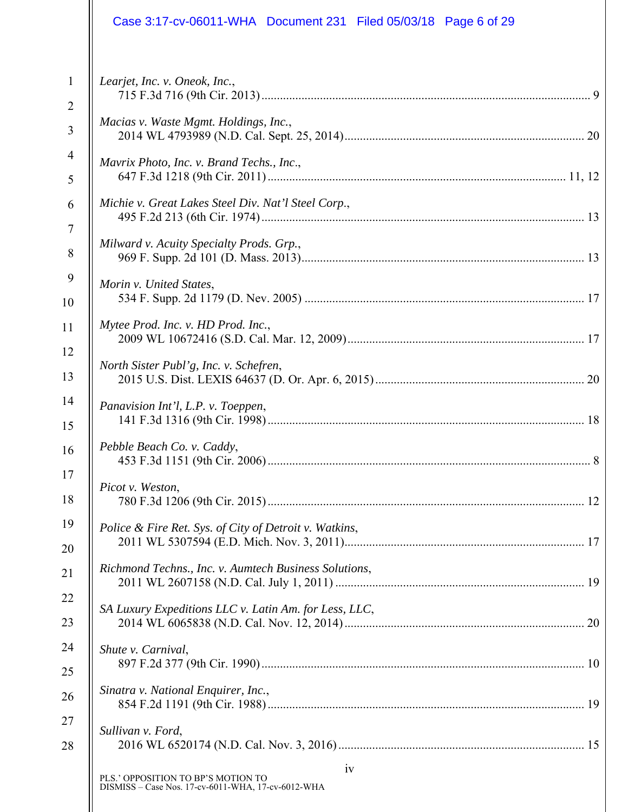| Case 3:17-cv-06011-WHA  Document 231  Filed 05/03/18  Page 6 of 29                             |
|------------------------------------------------------------------------------------------------|
| Learjet, Inc. v. Oneok, Inc.,                                                                  |
| Macias v. Waste Mgmt. Holdings, Inc.,                                                          |
| Mavrix Photo, Inc. v. Brand Techs., Inc.,                                                      |
| Michie v. Great Lakes Steel Div. Nat'l Steel Corp.,                                            |
| Milward v. Acuity Specialty Prods. Grp.,                                                       |
| Morin v. United States,                                                                        |
| Mytee Prod. Inc. v. HD Prod. Inc.,                                                             |
| North Sister Publ'g, Inc. v. Schefren,                                                         |
| Panavision Int'l, L.P. v. Toeppen,                                                             |
| Pebble Beach Co. v. Caddy,                                                                     |
| Picot v. Weston,                                                                               |
| Police & Fire Ret. Sys. of City of Detroit v. Watkins,                                         |
| Richmond Techns., Inc. v. Aumtech Business Solutions,                                          |
| SA Luxury Expeditions LLC v. Latin Am. for Less, LLC,                                          |
| Shute v. Carnival,                                                                             |
| Sinatra v. National Enquirer, Inc.,                                                            |
| Sullivan v. Ford,                                                                              |
| iv<br>PLS.' OPPOSITION TO BP'S MOTION TO<br>DISMISS - Case Nos. 17-cv-6011-WHA, 17-cv-6012-WHA |
|                                                                                                |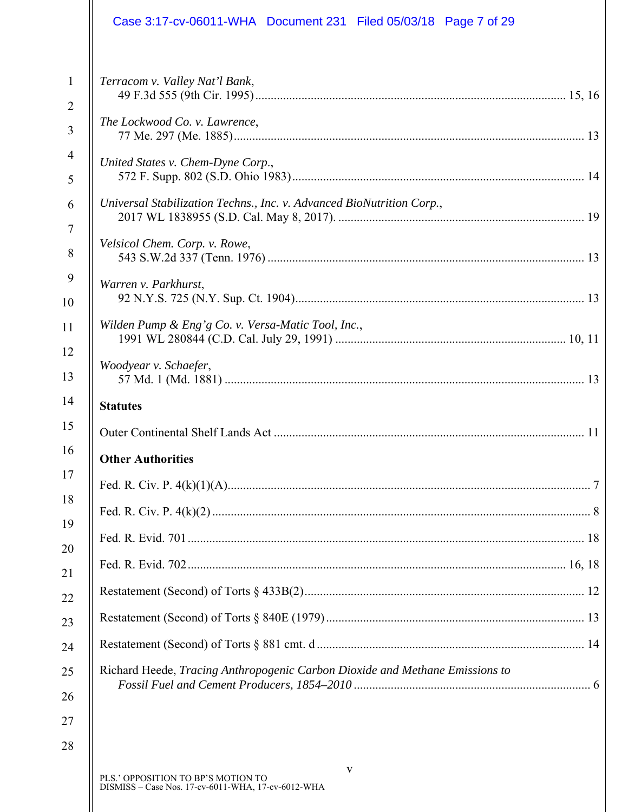|                                | Case 3:17-cv-06011-WHA Document 231 Filed 05/03/18 Page 7 of 29              |
|--------------------------------|------------------------------------------------------------------------------|
| $\mathbf{1}$<br>$\overline{2}$ | Terracom v. Valley Nat'l Bank,                                               |
| 3                              | The Lockwood Co. v. Lawrence,                                                |
| $\overline{4}$<br>5            | United States v. Chem-Dyne Corp.,                                            |
| 6                              | Universal Stabilization Techns., Inc. v. Advanced BioNutrition Corp.,        |
| $\overline{7}$<br>8            | Velsicol Chem. Corp. v. Rowe,                                                |
| 9<br>10                        | Warren v. Parkhurst,                                                         |
| 11                             | Wilden Pump & Eng'g Co. v. Versa-Matic Tool, Inc.,                           |
| 12<br>13                       | Woodyear v. Schaefer,                                                        |
| 14                             | <b>Statutes</b>                                                              |
| 15                             |                                                                              |
| 16                             | <b>Other Authorities</b>                                                     |
| 17                             |                                                                              |
| 18<br>19                       |                                                                              |
| 20                             |                                                                              |
| 21                             |                                                                              |
| 22                             |                                                                              |
| 23                             |                                                                              |
| 24                             |                                                                              |
|                                |                                                                              |
|                                | Richard Heede, Tracing Anthropogenic Carbon Dioxide and Methane Emissions to |
| 26                             |                                                                              |
| 27                             |                                                                              |
| 25<br>28                       |                                                                              |

 $\parallel$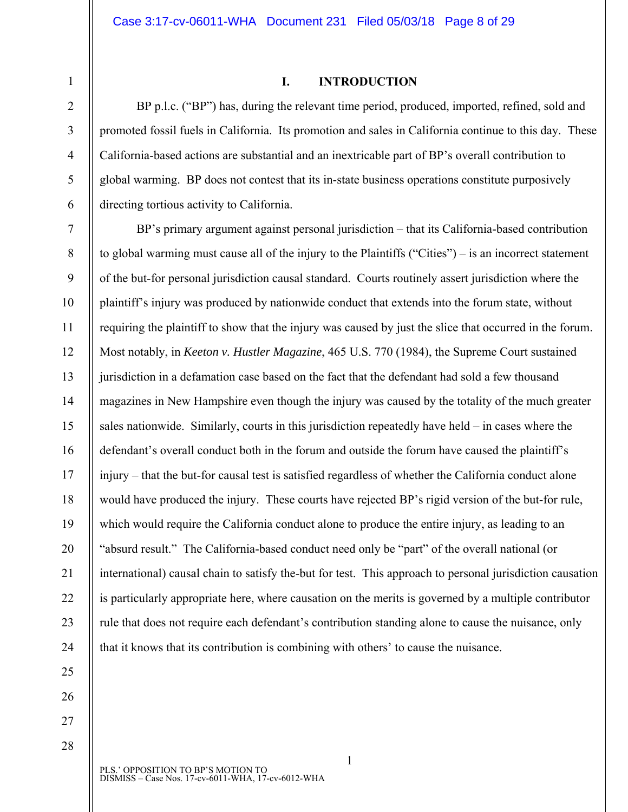#### **I. INTRODUCTION**

BP p.l.c. ("BP") has, during the relevant time period, produced, imported, refined, sold and promoted fossil fuels in California. Its promotion and sales in California continue to this day. These California-based actions are substantial and an inextricable part of BP's overall contribution to global warming. BP does not contest that its in-state business operations constitute purposively directing tortious activity to California.

10 12 13 14 15 16 17 18 19 20 22 23 24 BP's primary argument against personal jurisdiction – that its California-based contribution to global warming must cause all of the injury to the Plaintiffs ("Cities") – is an incorrect statement of the but-for personal jurisdiction causal standard. Courts routinely assert jurisdiction where the plaintiff's injury was produced by nationwide conduct that extends into the forum state, without requiring the plaintiff to show that the injury was caused by just the slice that occurred in the forum. Most notably, in *Keeton v. Hustler Magazine*, 465 U.S. 770 (1984), the Supreme Court sustained jurisdiction in a defamation case based on the fact that the defendant had sold a few thousand magazines in New Hampshire even though the injury was caused by the totality of the much greater sales nationwide. Similarly, courts in this jurisdiction repeatedly have held – in cases where the defendant's overall conduct both in the forum and outside the forum have caused the plaintiff's injury – that the but-for causal test is satisfied regardless of whether the California conduct alone would have produced the injury. These courts have rejected BP's rigid version of the but-for rule, which would require the California conduct alone to produce the entire injury, as leading to an "absurd result." The California-based conduct need only be "part" of the overall national (or international) causal chain to satisfy the-but for test. This approach to personal jurisdiction causation is particularly appropriate here, where causation on the merits is governed by a multiple contributor rule that does not require each defendant's contribution standing alone to cause the nuisance, only that it knows that its contribution is combining with others' to cause the nuisance.

28

25

26

27

21

1

2

3

4

5

6

7

8

9

11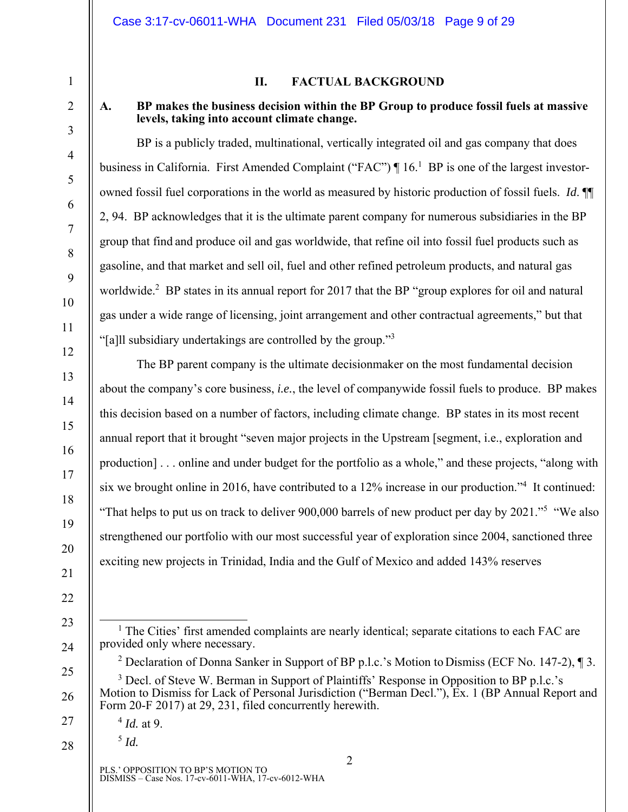#### **II. FACTUAL BACKGROUND**

#### **A. BP makes the business decision within the BP Group to produce fossil fuels at massive levels, taking into account climate change.**

BP is a publicly traded, multinational, vertically integrated oil and gas company that does business in California. First Amended Complaint ("FAC") | 16.<sup>1</sup> BP is one of the largest investorowned fossil fuel corporations in the world as measured by historic production of fossil fuels. *Id*. ¶¶ 2, 94. BP acknowledges that it is the ultimate parent company for numerous subsidiaries in the BP group that find and produce oil and gas worldwide, that refine oil into fossil fuel products such as gasoline, and that market and sell oil, fuel and other refined petroleum products, and natural gas worldwide.<sup>2</sup> BP states in its annual report for 2017 that the BP "group explores for oil and natural gas under a wide range of licensing, joint arrangement and other contractual agreements," but that "[a]ll subsidiary undertakings are controlled by the group."<sup>3</sup>

The BP parent company is the ultimate decisionmaker on the most fundamental decision about the company's core business, *i.e.*, the level of companywide fossil fuels to produce. BP makes this decision based on a number of factors, including climate change. BP states in its most recent annual report that it brought "seven major projects in the Upstream [segment, i.e., exploration and production] . . . online and under budget for the portfolio as a whole," and these projects, "along with six we brought online in 2016, have contributed to a 12% increase in our production."<sup>4</sup> It continued: "That helps to put us on track to deliver 900,000 barrels of new product per day by 2021."<sup>5</sup> "We also" strengthened our portfolio with our most successful year of exploration since 2004, sanctioned three exciting new projects in Trinidad, India and the Gulf of Mexico and added 143% reserves

 $^5$  *Id.* 

28

26

27

PLS.' OPPOSITION TO BP'S MOTION TO DISMISS – Case Nos. 17-cv-6011-WHA, 17-cv-6012-WHA

1

2

<sup>&</sup>lt;sup>1</sup> The Cities' first amended complaints are nearly identical; separate citations to each FAC are provided only where necessary.

<sup>&</sup>lt;sup>2</sup> Declaration of Donna Sanker in Support of BP p.l.c.'s Motion to Dismiss (ECF No. 147-2),  $\P$  3.

<sup>&</sup>lt;sup>3</sup> Decl. of Steve W. Berman in Support of Plaintiffs' Response in Opposition to BP p.l.c.'s Motion to Dismiss for Lack of Personal Jurisdiction ("Berman Decl."), Ex. 1 (BP Annual Report and Form 20-F 2017) at 29, 231, filed concurrently herewith.

<sup>4</sup> *Id.* at 9.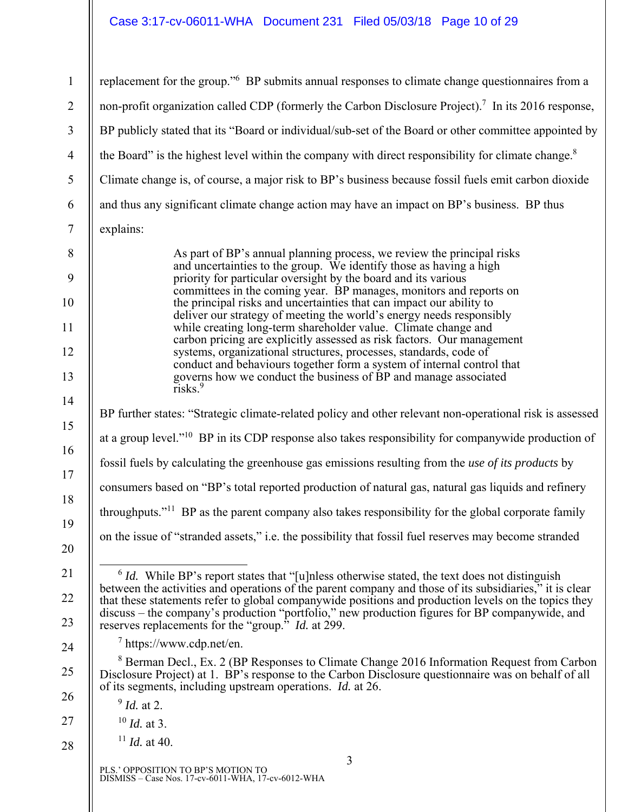# Case 3:17-cv-06011-WHA Document 231 Filed 05/03/18 Page 10 of 29

| $\mathbf{1}$   | replacement for the group." <sup>6</sup> BP submits annual responses to climate change questionnaires from a                                                                                                                                                                                                                                                                                                                |  |  |
|----------------|-----------------------------------------------------------------------------------------------------------------------------------------------------------------------------------------------------------------------------------------------------------------------------------------------------------------------------------------------------------------------------------------------------------------------------|--|--|
| $\overline{2}$ | non-profit organization called CDP (formerly the Carbon Disclosure Project). <sup>7</sup> In its 2016 response,                                                                                                                                                                                                                                                                                                             |  |  |
| $\mathfrak{Z}$ | BP publicly stated that its "Board or individual/sub-set of the Board or other committee appointed by                                                                                                                                                                                                                                                                                                                       |  |  |
| $\overline{4}$ | the Board" is the highest level within the company with direct responsibility for climate change. <sup>8</sup>                                                                                                                                                                                                                                                                                                              |  |  |
| 5              | Climate change is, of course, a major risk to BP's business because fossil fuels emit carbon dioxide                                                                                                                                                                                                                                                                                                                        |  |  |
| 6              | and thus any significant climate change action may have an impact on BP's business. BP thus                                                                                                                                                                                                                                                                                                                                 |  |  |
| $\overline{7}$ | explains:                                                                                                                                                                                                                                                                                                                                                                                                                   |  |  |
| 8              | As part of BP's annual planning process, we review the principal risks                                                                                                                                                                                                                                                                                                                                                      |  |  |
| 9              | and uncertainties to the group. We identify those as having a high<br>priority for particular oversight by the board and its various                                                                                                                                                                                                                                                                                        |  |  |
| 10             | committees in the coming year. BP manages, monitors and reports on<br>the principal risks and uncertainties that can impact our ability to                                                                                                                                                                                                                                                                                  |  |  |
| 11             | deliver our strategy of meeting the world's energy needs responsibly<br>while creating long-term shareholder value. Climate change and                                                                                                                                                                                                                                                                                      |  |  |
| 12             | carbon pricing are explicitly assessed as risk factors. Our management<br>systems, organizational structures, processes, standards, code of                                                                                                                                                                                                                                                                                 |  |  |
| 13             | conduct and behaviours together form a system of internal control that<br>governs how we conduct the business of BP and manage associated                                                                                                                                                                                                                                                                                   |  |  |
| 14             | $ri$ sks. $9$                                                                                                                                                                                                                                                                                                                                                                                                               |  |  |
| 15             | BP further states: "Strategic climate-related policy and other relevant non-operational risk is assessed                                                                                                                                                                                                                                                                                                                    |  |  |
| 16             | at a group level." <sup>10</sup> BP in its CDP response also takes responsibility for companywide production of                                                                                                                                                                                                                                                                                                             |  |  |
| 17             | fossil fuels by calculating the greenhouse gas emissions resulting from the use of its products by                                                                                                                                                                                                                                                                                                                          |  |  |
| 18             | consumers based on "BP's total reported production of natural gas, natural gas liquids and refinery                                                                                                                                                                                                                                                                                                                         |  |  |
| 19             | throughputs." <sup>11</sup> BP as the parent company also takes responsibility for the global corporate family                                                                                                                                                                                                                                                                                                              |  |  |
| 20             | on the issue of "stranded assets," i.e. the possibility that fossil fuel reserves may become stranded                                                                                                                                                                                                                                                                                                                       |  |  |
| 21<br>22       | $6$ <i>Id.</i> While BP's report states that "[u]nless otherwise stated, the text does not distinguish<br>between the activities and operations of the parent company and those of its subsidiaries," it is clear<br>that these statements refer to global companywide positions and production levels on the topics they<br>discuss – the company's production "portfolio," new production figures for BP companywide, and |  |  |
| 23             | reserves replacements for the "group." <i>Id.</i> at 299.                                                                                                                                                                                                                                                                                                                                                                   |  |  |
| 24             | $\frac{7 \text{ https://www.cdp.net/en.}}{2}$<br><sup>8</sup> Berman Decl., Ex. 2 (BP Responses to Climate Change 2016 Information Request from Carbon                                                                                                                                                                                                                                                                      |  |  |
| 25             | Disclosure Project) at 1. BP's response to the Carbon Disclosure questionnaire was on behalf of all<br>of its segments, including upstream operations. <i>Id.</i> at 26.                                                                                                                                                                                                                                                    |  |  |
| 26             | $9$ <i>Id.</i> at 2.                                                                                                                                                                                                                                                                                                                                                                                                        |  |  |
| 27             | $^{10}$ <i>Id.</i> at 3.                                                                                                                                                                                                                                                                                                                                                                                                    |  |  |
| 28             | $^{11}$ <i>Id.</i> at 40.                                                                                                                                                                                                                                                                                                                                                                                                   |  |  |
|                | 3<br>PLS.' OPPOSITION TO BP'S MOTION TO<br>DISMISS - Case Nos. 17-cv-6011-WHA, 17-cv-6012-WHA                                                                                                                                                                                                                                                                                                                               |  |  |

 $\parallel$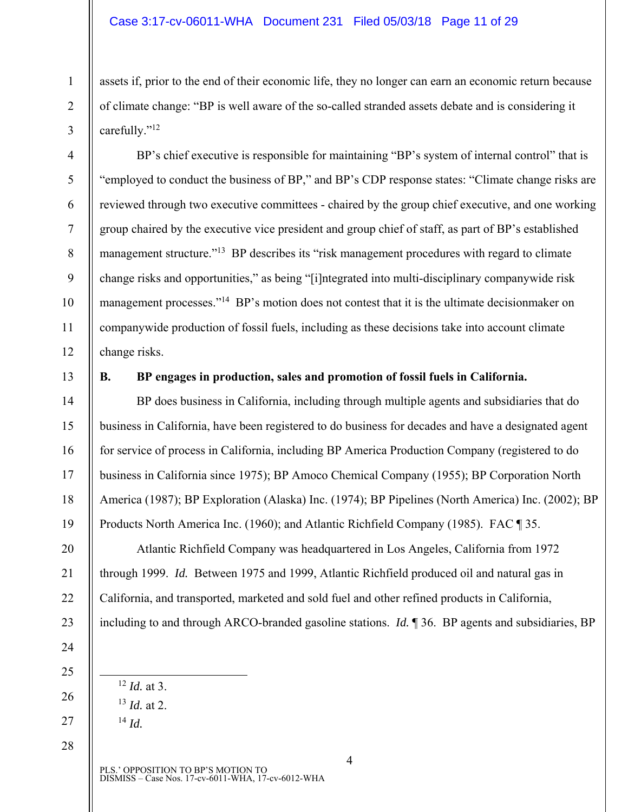#### Case 3:17-cv-06011-WHA Document 231 Filed 05/03/18 Page 11 of 29

assets if, prior to the end of their economic life, they no longer can earn an economic return because of climate change: "BP is well aware of the so-called stranded assets debate and is considering it carefully."<sup>12</sup>

BP's chief executive is responsible for maintaining "BP's system of internal control" that is "employed to conduct the business of BP," and BP's CDP response states: "Climate change risks are reviewed through two executive committees - chaired by the group chief executive, and one working group chaired by the executive vice president and group chief of staff, as part of BP's established management structure."<sup>13</sup> BP describes its "risk management procedures with regard to climate change risks and opportunities," as being "[i]ntegrated into multi-disciplinary companywide risk management processes."<sup>14</sup> BP's motion does not contest that it is the ultimate decisionmaker on companywide production of fossil fuels, including as these decisions take into account climate change risks.

13

1

2

3

4

5

6

7

8

9

10

11

12

14

15

16

17

18

19

20

21

22

23

24

25

26

27

28

## **B. BP engages in production, sales and promotion of fossil fuels in California.**

BP does business in California, including through multiple agents and subsidiaries that do business in California, have been registered to do business for decades and have a designated agent for service of process in California, including BP America Production Company (registered to do business in California since 1975); BP Amoco Chemical Company (1955); BP Corporation North America (1987); BP Exploration (Alaska) Inc. (1974); BP Pipelines (North America) Inc. (2002); BP Products North America Inc. (1960); and Atlantic Richfield Company (1985). FAC ¶ 35.

Atlantic Richfield Company was headquartered in Los Angeles, California from 1972 through 1999. *Id.* Between 1975 and 1999, Atlantic Richfield produced oil and natural gas in California, and transported, marketed and sold fuel and other refined products in California, including to and through ARCO-branded gasoline stations. *Id.* ¶ 36. BP agents and subsidiaries, BP

- 12 *Id.* at 3.
- <sup>13</sup> *Id.* at 2.
- <sup>14</sup> *Id.*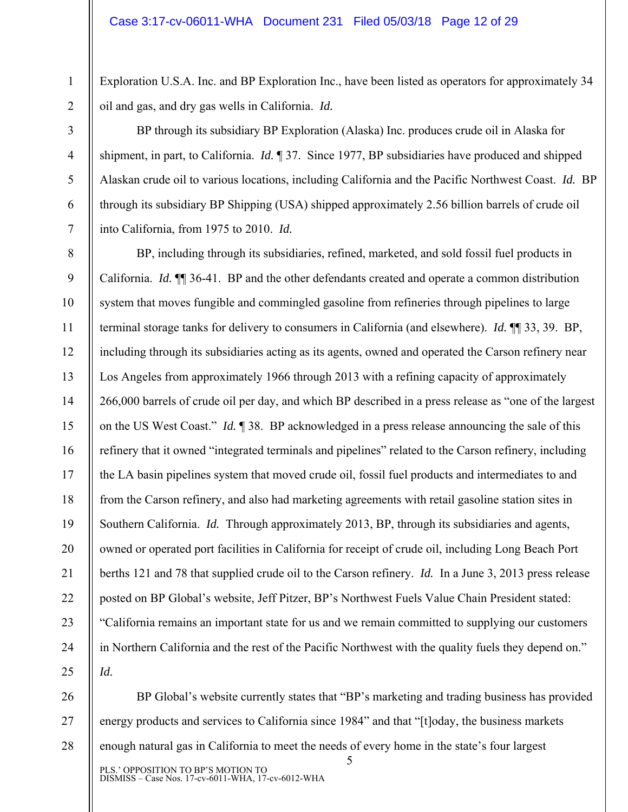Exploration U.S.A. Inc. and BP Exploration Inc., have been listed as operators for approximately 34 oil and gas, and dry gas wells in California. *Id.* 

2 3

4

5

6

7

1

BP through its subsidiary BP Exploration (Alaska) Inc. produces crude oil in Alaska for shipment, in part, to California. *Id.* ¶ 37. Since 1977, BP subsidiaries have produced and shipped Alaskan crude oil to various locations, including California and the Pacific Northwest Coast. *Id.* BP through its subsidiary BP Shipping (USA) shipped approximately 2.56 billion barrels of crude oil into California, from 1975 to 2010. *Id.* 

8 9 10 11 12 13 14 15 16 17 18 19 20 21 22 23 24 25 BP, including through its subsidiaries, refined, marketed, and sold fossil fuel products in California. *Id.* ¶¶ 36-41. BP and the other defendants created and operate a common distribution system that moves fungible and commingled gasoline from refineries through pipelines to large terminal storage tanks for delivery to consumers in California (and elsewhere). *Id.* ¶¶ 33, 39. BP, including through its subsidiaries acting as its agents, owned and operated the Carson refinery near Los Angeles from approximately 1966 through 2013 with a refining capacity of approximately 266,000 barrels of crude oil per day, and which BP described in a press release as "one of the largest on the US West Coast." *Id.* ¶ 38. BP acknowledged in a press release announcing the sale of this refinery that it owned "integrated terminals and pipelines" related to the Carson refinery, including the LA basin pipelines system that moved crude oil, fossil fuel products and intermediates to and from the Carson refinery, and also had marketing agreements with retail gasoline station sites in Southern California. *Id.* Through approximately 2013, BP, through its subsidiaries and agents, owned or operated port facilities in California for receipt of crude oil, including Long Beach Port berths 121 and 78 that supplied crude oil to the Carson refinery. *Id.* In a June 3, 2013 press release posted on BP Global's website, Jeff Pitzer, BP's Northwest Fuels Value Chain President stated: "California remains an important state for us and we remain committed to supplying our customers in Northern California and the rest of the Pacific Northwest with the quality fuels they depend on." *Id.* 

5 26 27 28 BP Global's website currently states that "BP's marketing and trading business has provided energy products and services to California since 1984" and that "[t]oday, the business markets enough natural gas in California to meet the needs of every home in the state's four largest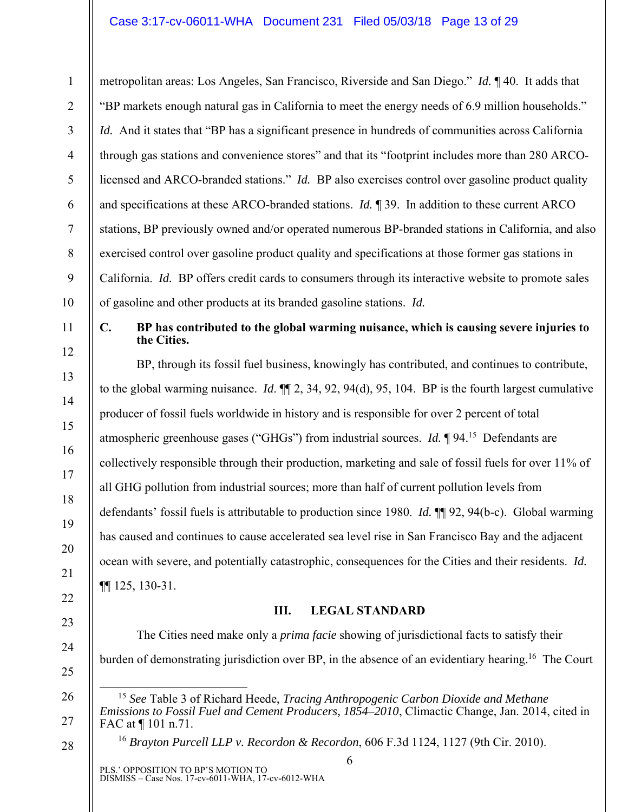metropolitan areas: Los Angeles, San Francisco, Riverside and San Diego." *Id.* ¶ 40. It adds that "BP markets enough natural gas in California to meet the energy needs of 6.9 million households." *Id.* And it states that "BP has a significant presence in hundreds of communities across California through gas stations and convenience stores" and that its "footprint includes more than 280 ARCOlicensed and ARCO-branded stations." *Id.* BP also exercises control over gasoline product quality and specifications at these ARCO-branded stations. *Id.* ¶ 39. In addition to these current ARCO stations, BP previously owned and/or operated numerous BP-branded stations in California, and also exercised control over gasoline product quality and specifications at those former gas stations in California. *Id.* BP offers credit cards to consumers through its interactive website to promote sales of gasoline and other products at its branded gasoline stations. *Id.*

1

2

3

4

5

6

7

8

9

10

11

12

13

14

15

16

17

18

19

20

21

22

23

24

25

26

27

28

#### **C. BP has contributed to the global warming nuisance, which is causing severe injuries to the Cities.**

BP, through its fossil fuel business, knowingly has contributed, and continues to contribute, to the global warming nuisance. *Id*. ¶¶ 2, 34, 92, 94(d), 95, 104. BP is the fourth largest cumulative producer of fossil fuels worldwide in history and is responsible for over 2 percent of total atmospheric greenhouse gases ("GHGs") from industrial sources. *Id.* ¶ 94.15 Defendants are collectively responsible through their production, marketing and sale of fossil fuels for over 11% of all GHG pollution from industrial sources; more than half of current pollution levels from defendants' fossil fuels is attributable to production since 1980. *Id.* ¶¶ 92, 94(b-c). Global warming has caused and continues to cause accelerated sea level rise in San Francisco Bay and the adjacent ocean with severe, and potentially catastrophic, consequences for the Cities and their residents. *Id.* ¶¶ 125, 130-31.

# **III. LEGAL STANDARD**

The Cities need make only a *prima facie* showing of jurisdictional facts to satisfy their burden of demonstrating jurisdiction over BP, in the absence of an evidentiary hearing.<sup>16</sup> The Court

<sup>16</sup> *Brayton Purcell LLP v. Recordon & Recordon*, 606 F.3d 1124, 1127 (9th Cir. 2010).

 <sup>15</sup> *See* Table 3 of Richard Heede, *Tracing Anthropogenic Carbon Dioxide and Methane Emissions to Fossil Fuel and Cement Producers, 1854–2010*, Climactic Change, Jan. 2014, cited in FAC at ¶ 101 n.71.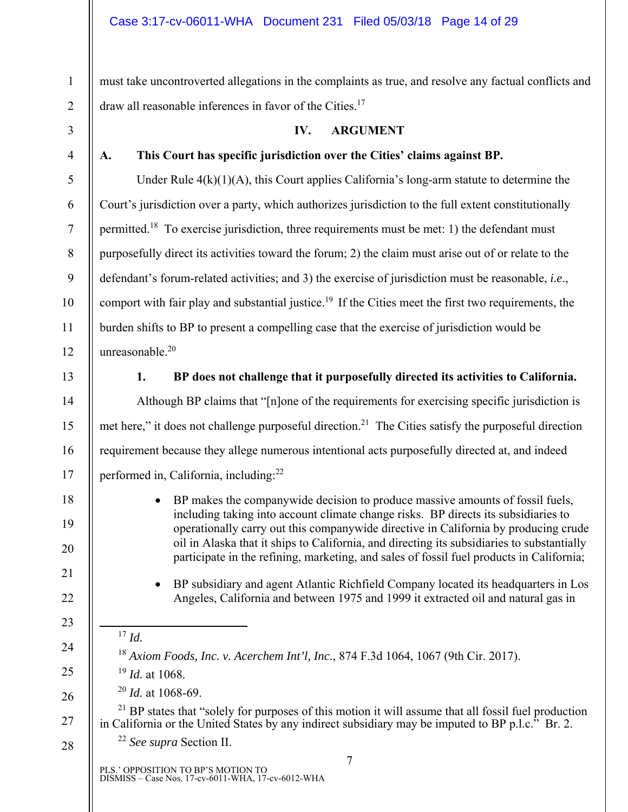must take uncontroverted allegations in the complaints as true, and resolve any factual conflicts and draw all reasonable inferences in favor of the Cities.17

3

1

2

4

5

6

7

8

9

10

11

12

## **IV. ARGUMENT**

# **A. This Court has specific jurisdiction over the Cities' claims against BP.**

Under Rule  $4(k)(1)(A)$ , this Court applies California's long-arm statute to determine the Court's jurisdiction over a party, which authorizes jurisdiction to the full extent constitutionally permitted.18 To exercise jurisdiction, three requirements must be met: 1) the defendant must purposefully direct its activities toward the forum; 2) the claim must arise out of or relate to the defendant's forum-related activities; and 3) the exercise of jurisdiction must be reasonable, *i.e*., comport with fair play and substantial justice.<sup>19</sup> If the Cities meet the first two requirements, the burden shifts to BP to present a compelling case that the exercise of jurisdiction would be unreasonable.20

13

14

15

16

17

18

19

20

21

22

23

24

25

26

28

## **1. BP does not challenge that it purposefully directed its activities to California.**

Although BP claims that "[n]one of the requirements for exercising specific jurisdiction is met here," it does not challenge purposeful direction.<sup>21</sup> The Cities satisfy the purposeful direction requirement because they allege numerous intentional acts purposefully directed at, and indeed performed in, California, including:22

- BP makes the companywide decision to produce massive amounts of fossil fuels, including taking into account climate change risks. BP directs its subsidiaries to operationally carry out this companywide directive in California by producing crude oil in Alaska that it ships to California, and directing its subsidiaries to substantially participate in the refining, marketing, and sales of fossil fuel products in California;
- BP subsidiary and agent Atlantic Richfield Company located its headquarters in Los Angeles, California and between 1975 and 1999 it extracted oil and natural gas in
- 17 *Id.*

# <sup>18</sup> *Axiom Foods, Inc. v. Acerchem Int'l, Inc*., 874 F.3d 1064, 1067 (9th Cir. 2017).

- <sup>19</sup> *Id.* at 1068.
- <sup>20</sup> *Id.* at 1068-69.

27  $21$  BP states that "solely for purposes of this motion it will assume that all fossil fuel production in California or the United States by any indirect subsidiary may be imputed to BP p.l.c." Br. 2.

<sup>22</sup> *See supra* Section II.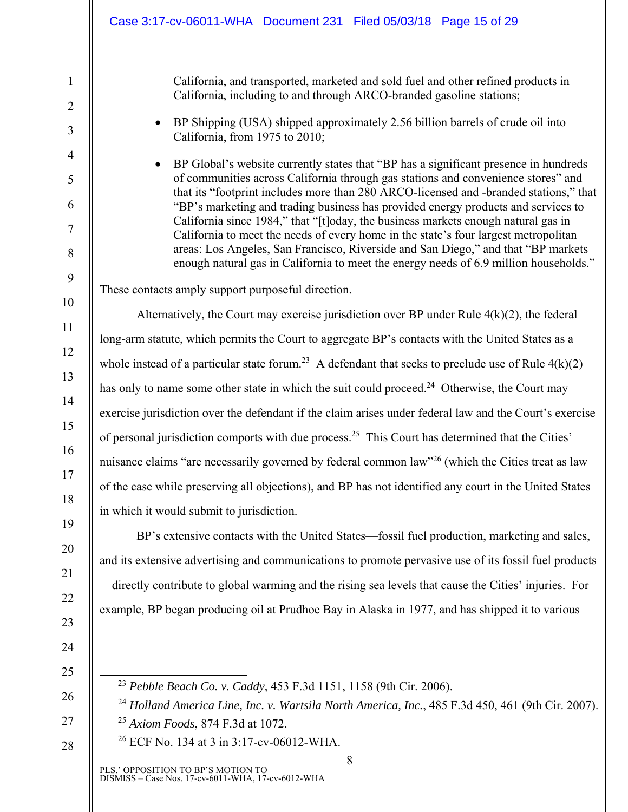California, and transported, marketed and sold fuel and other refined products in California, including to and through ARCO-branded gasoline stations;

• BP Shipping (USA) shipped approximately 2.56 billion barrels of crude oil into California, from 1975 to 2010;

 BP Global's website currently states that "BP has a significant presence in hundreds of communities across California through gas stations and convenience stores" and that its "footprint includes more than 280 ARCO-licensed and -branded stations," that "BP's marketing and trading business has provided energy products and services to California since 1984," that "[t]oday, the business markets enough natural gas in California to meet the needs of every home in the state's four largest metropolitan areas: Los Angeles, San Francisco, Riverside and San Diego," and that "BP markets enough natural gas in California to meet the energy needs of 6.9 million households."

These contacts amply support purposeful direction.

Alternatively, the Court may exercise jurisdiction over BP under Rule  $4(k)(2)$ , the federal long-arm statute, which permits the Court to aggregate BP's contacts with the United States as a whole instead of a particular state forum.<sup>23</sup> A defendant that seeks to preclude use of Rule  $4(k)(2)$ has only to name some other state in which the suit could proceed.<sup>24</sup> Otherwise, the Court may exercise jurisdiction over the defendant if the claim arises under federal law and the Court's exercise of personal jurisdiction comports with due process.25 This Court has determined that the Cities' nuisance claims "are necessarily governed by federal common law"<sup>26</sup> (which the Cities treat as law of the case while preserving all objections), and BP has not identified any court in the United States in which it would submit to jurisdiction.

BP's extensive contacts with the United States—fossil fuel production, marketing and sales, and its extensive advertising and communications to promote pervasive use of its fossil fuel products —directly contribute to global warming and the rising sea levels that cause the Cities' injuries. For example, BP began producing oil at Prudhoe Bay in Alaska in 1977, and has shipped it to various

- 23 *Pebble Beach Co. v. Caddy*, 453 F.3d 1151, 1158 (9th Cir. 2006).
- <sup>24</sup> *Holland America Line, Inc. v. Wartsila North America, Inc.*, 485 F.3d 450, 461 (9th Cir. 2007).

8

- <sup>25</sup> *Axiom Foods*, 874 F.3d at 1072.
- 26 ECF No. 134 at 3 in 3:17-cv-06012-WHA.

PLS.' OPPOSITION TO BP'S MOTION TO DISMISS – Case Nos. 17-cv-6011-WHA, 17-cv-6012-WHA

28

1

2

3

4

5

6

7

8

9

10

11

12

13

14

15

16

17

18

19

20

21

22

23

24

25

26

27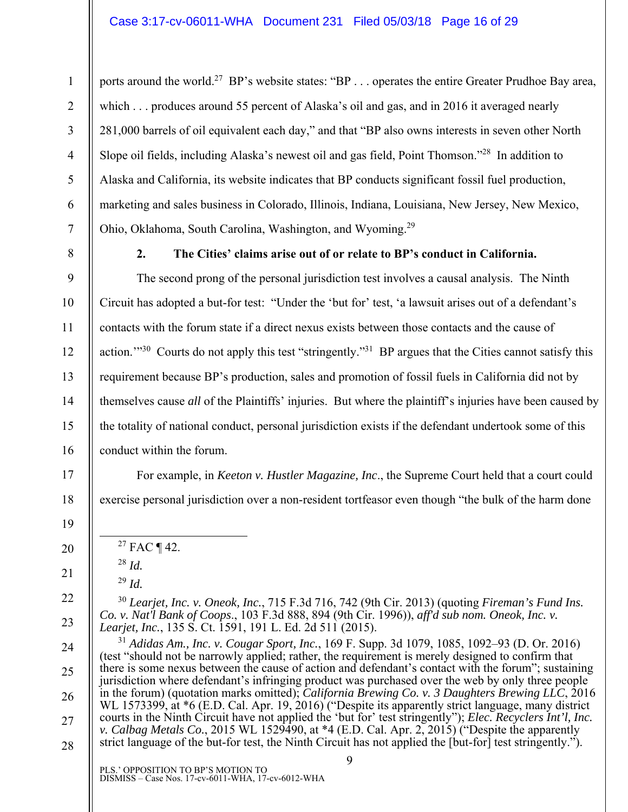ports around the world.<sup>27</sup> BP's website states: "BP . . . operates the entire Greater Prudhoe Bay area, which . . . produces around 55 percent of Alaska's oil and gas, and in 2016 it averaged nearly 281,000 barrels of oil equivalent each day," and that "BP also owns interests in seven other North Slope oil fields, including Alaska's newest oil and gas field, Point Thomson."28 In addition to Alaska and California, its website indicates that BP conducts significant fossil fuel production, marketing and sales business in Colorado, Illinois, Indiana, Louisiana, New Jersey, New Mexico, Ohio, Oklahoma, South Carolina, Washington, and Wyoming.29

1

2

3

4

5

6

7

8

9

10

11

12

13

14

15

16

17

18

19

20

21

22

23

24

25

26

27

28

**2. The Cities' claims arise out of or relate to BP's conduct in California.** 

The second prong of the personal jurisdiction test involves a causal analysis. The Ninth Circuit has adopted a but-for test: "Under the 'but for' test, 'a lawsuit arises out of a defendant's contacts with the forum state if a direct nexus exists between those contacts and the cause of action."<sup>30</sup> Courts do not apply this test "stringently."<sup>31</sup> BP argues that the Cities cannot satisfy this requirement because BP's production, sales and promotion of fossil fuels in California did not by themselves cause *all* of the Plaintiffs' injuries. But where the plaintiff's injuries have been caused by the totality of national conduct, personal jurisdiction exists if the defendant undertook some of this conduct within the forum.

For example, in *Keeton v. Hustler Magazine, Inc*., the Supreme Court held that a court could exercise personal jurisdiction over a non-resident tortfeasor even though "the bulk of the harm done

- $27$  FAC ¶ 42.
- <sup>28</sup> *Id.*
- <sup>29</sup> *Id.*

<sup>30</sup> *Learjet, Inc. v. Oneok, Inc.*, 715 F.3d 716, 742 (9th Cir. 2013) (quoting *Fireman's Fund Ins. Co. v. Nat'l Bank of Coops*., 103 F.3d 888, 894 (9th Cir. 1996)), *aff'd sub nom. Oneok, Inc. v. Learjet, Inc.*, 135 S. Ct. 1591, 191 L. Ed. 2d 511 (2015).

 $\mathbf Q$ <sup>31</sup> *Adidas Am., Inc. v. Cougar Sport, Inc.*, 169 F. Supp. 3d 1079, 1085, 1092–93 (D. Or. 2016) (test "should not be narrowly applied; rather, the requirement is merely designed to confirm that there is some nexus between the cause of action and defendant's contact with the forum"; sustaining jurisdiction where defendant's infringing product was purchased over the web by only three people in the forum) (quotation marks omitted); *California Brewing Co. v. 3 Daughters Brewing LLC*, 2016 WL 1573399, at \*6 (E.D. Cal. Apr. 19, 2016) ("Despite its apparently strict language, many district courts in the Ninth Circuit have not applied the 'but for' test stringently"); *Elec. Recyclers Int'l, Inc. v. Calbag Metals Co.*, 2015 WL 1529490, at \*4 (E.D. Cal. Apr. 2, 2015) ("Despite the apparently strict language of the but-for test, the Ninth Circuit has not applied the [but-for] test stringently.").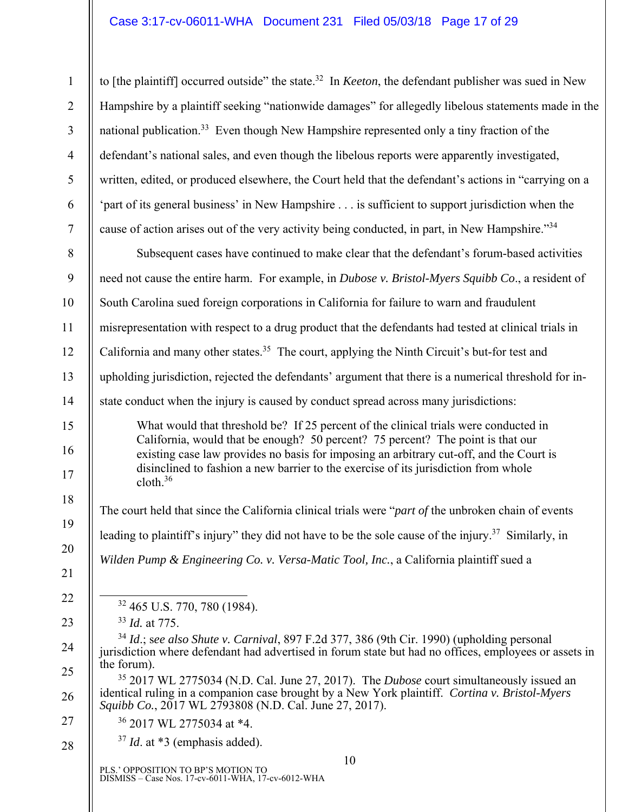1 2 3 4 5 6 7 to [the plaintiff] occurred outside" the state.32 In *Keeton*, the defendant publisher was sued in New Hampshire by a plaintiff seeking "nationwide damages" for allegedly libelous statements made in the national publication.33 Even though New Hampshire represented only a tiny fraction of the defendant's national sales, and even though the libelous reports were apparently investigated, written, edited, or produced elsewhere, the Court held that the defendant's actions in "carrying on a 'part of its general business' in New Hampshire . . . is sufficient to support jurisdiction when the cause of action arises out of the very activity being conducted, in part, in New Hampshire."34

8 9 10 11 12 13 14 15 16 17 18 19 20 21 Subsequent cases have continued to make clear that the defendant's forum-based activities need not cause the entire harm. For example, in *Dubose v. Bristol-Myers Squibb Co*., a resident of South Carolina sued foreign corporations in California for failure to warn and fraudulent misrepresentation with respect to a drug product that the defendants had tested at clinical trials in California and many other states.<sup>35</sup> The court, applying the Ninth Circuit's but-for test and upholding jurisdiction, rejected the defendants' argument that there is a numerical threshold for instate conduct when the injury is caused by conduct spread across many jurisdictions: What would that threshold be? If 25 percent of the clinical trials were conducted in California, would that be enough? 50 percent? 75 percent? The point is that our existing case law provides no basis for imposing an arbitrary cut-off, and the Court is disinclined to fashion a new barrier to the exercise of its jurisdiction from whole  $cloth<sup>36</sup>$ The court held that since the California clinical trials were "*part of* the unbroken chain of events leading to plaintiff's injury" they did not have to be the sole cause of the injury.<sup>37</sup> Similarly, in *Wilden Pump & Engineering Co. v. Versa-Matic Tool, Inc.*, a California plaintiff sued a

32 465 U.S. 770, 780 (1984).

<sup>33</sup> *Id.* at 775.

<sup>34</sup> *Id*.; s*ee also Shute v. Carnival*, 897 F.2d 377, 386 (9th Cir. 1990) (upholding personal jurisdiction where defendant had advertised in forum state but had no offices, employees or assets in the forum).

35 2017 WL 2775034 (N.D. Cal. June 27, 2017). The *Dubose* court simultaneously issued an identical ruling in a companion case brought by a New York plaintiff. *Cortina v. Bristol-Myers Squibb Co.*, 2017 WL 2793808 (N.D. Cal. June 27, 2017).

27

28

22

23

24

25

26

- 36 2017 WL 2775034 at \*4.
- <sup>37</sup> *Id*. at \*3 (emphasis added).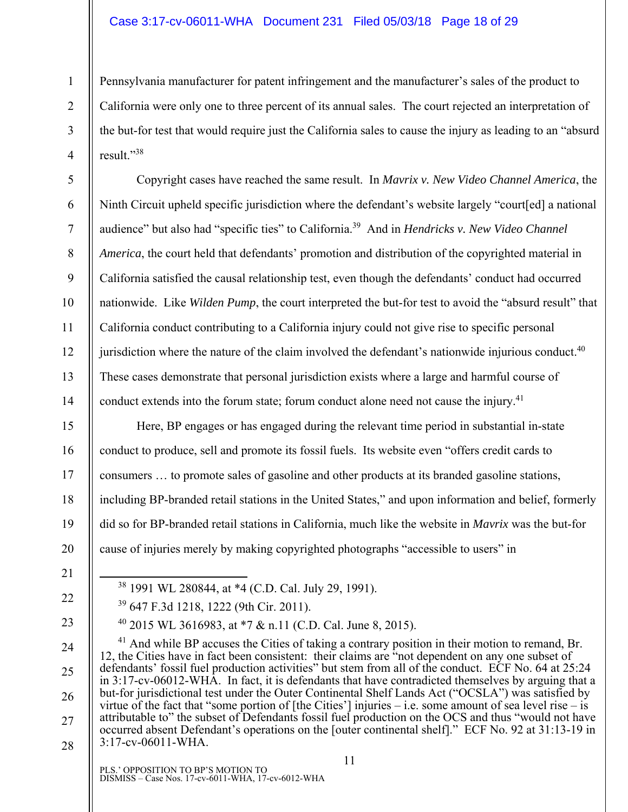Pennsylvania manufacturer for patent infringement and the manufacturer's sales of the product to California were only one to three percent of its annual sales. The court rejected an interpretation of the but-for test that would require just the California sales to cause the injury as leading to an "absurd result."38

Copyright cases have reached the same result. In *Mavrix v. New Video Channel America*, the Ninth Circuit upheld specific jurisdiction where the defendant's website largely "court[ed] a national audience" but also had "specific ties" to California.39 And in *Hendricks v. New Video Channel America*, the court held that defendants' promotion and distribution of the copyrighted material in California satisfied the causal relationship test, even though the defendants' conduct had occurred nationwide. Like *Wilden Pump*, the court interpreted the but-for test to avoid the "absurd result" that California conduct contributing to a California injury could not give rise to specific personal jurisdiction where the nature of the claim involved the defendant's nationwide injurious conduct. $40$ These cases demonstrate that personal jurisdiction exists where a large and harmful course of conduct extends into the forum state; forum conduct alone need not cause the injury.<sup>41</sup>

Here, BP engages or has engaged during the relevant time period in substantial in-state conduct to produce, sell and promote its fossil fuels. Its website even "offers credit cards to consumers … to promote sales of gasoline and other products at its branded gasoline stations, including BP-branded retail stations in the United States," and upon information and belief, formerly did so for BP-branded retail stations in California, much like the website in *Mavrix* was the but-for cause of injuries merely by making copyrighted photographs "accessible to users" in

21

1

2

3

4

5

6

7

8

9

10

11

12

13

14

15

16

17

18

19

20

- 22
- 23
- 24

25

26

27

28

 $41$  And while BP accuses the Cities of taking a contrary position in their motion to remand, Br. 12, the Cities have in fact been consistent: their claims are "not dependent on any one subset of defendants' fossil fuel production activities" but stem from all of the conduct. ECF No. 64 at 25:24 in 3:17-cv-06012-WHA. In fact, it is defendants that have contradicted themselves by arguing that a but-for jurisdictional test under the Outer Continental Shelf Lands Act ("OCSLA") was satisfied by virtue of the fact that "some portion of [the Cities'] injuries – i.e. some amount of sea level rise – is attributable to" the subset of Defendants fossil fuel production on the OCS and thus "would not have occurred absent Defendant's operations on the [outer continental shelf]." ECF No. 92 at 31:13-19 in 3:17-cv-06011-WHA.

PLS.' OPPOSITION TO BP'S MOTION TO DISMISS – Case Nos. 17-cv-6011-WHA, 17-cv-6012-WHA

39 647 F.3d 1218, 1222 (9th Cir. 2011).

38 1991 WL 280844, at \*4 (C.D. Cal. July 29, 1991).

40 2015 WL 3616983, at \*7 & n.11 (C.D. Cal. June 8, 2015).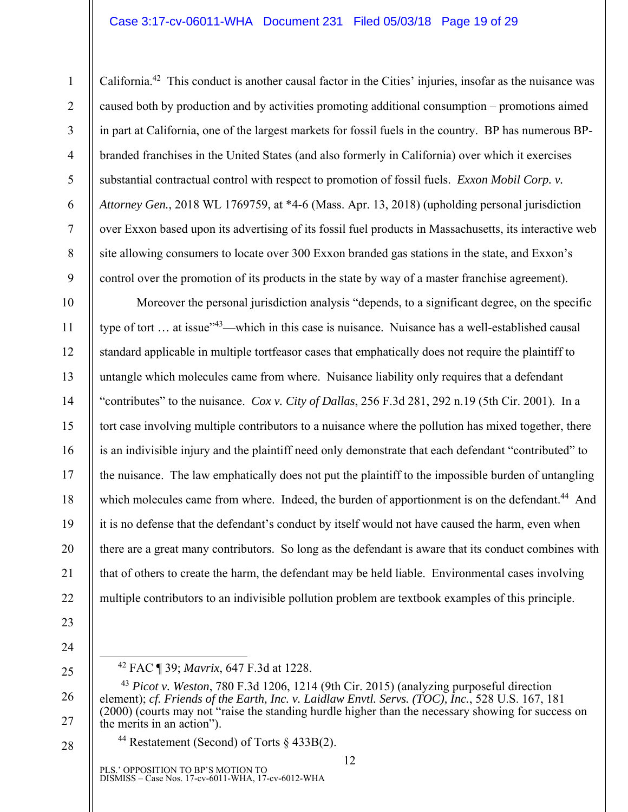#### Case 3:17-cv-06011-WHA Document 231 Filed 05/03/18 Page 19 of 29

California.42 This conduct is another causal factor in the Cities' injuries, insofar as the nuisance was caused both by production and by activities promoting additional consumption – promotions aimed in part at California, one of the largest markets for fossil fuels in the country. BP has numerous BPbranded franchises in the United States (and also formerly in California) over which it exercises substantial contractual control with respect to promotion of fossil fuels. *Exxon Mobil Corp. v. Attorney Gen.*, 2018 WL 1769759, at \*4-6 (Mass. Apr. 13, 2018) (upholding personal jurisdiction over Exxon based upon its advertising of its fossil fuel products in Massachusetts, its interactive web site allowing consumers to locate over 300 Exxon branded gas stations in the state, and Exxon's control over the promotion of its products in the state by way of a master franchise agreement).

10 11 12 13 14 15 16 17 18 19 20 21 Moreover the personal jurisdiction analysis "depends, to a significant degree, on the specific type of tort ... at issue<sup>"43</sup>—which in this case is nuisance. Nuisance has a well-established causal standard applicable in multiple tortfeasor cases that emphatically does not require the plaintiff to untangle which molecules came from where. Nuisance liability only requires that a defendant "contributes" to the nuisance. *Cox v. City of Dallas*, 256 F.3d 281, 292 n.19 (5th Cir. 2001). In a tort case involving multiple contributors to a nuisance where the pollution has mixed together, there is an indivisible injury and the plaintiff need only demonstrate that each defendant "contributed" to the nuisance. The law emphatically does not put the plaintiff to the impossible burden of untangling which molecules came from where. Indeed, the burden of apportionment is on the defendant.<sup>44</sup> And it is no defense that the defendant's conduct by itself would not have caused the harm, even when there are a great many contributors. So long as the defendant is aware that its conduct combines with that of others to create the harm, the defendant may be held liable. Environmental cases involving multiple contributors to an indivisible pollution problem are textbook examples of this principle.

22

1

2

3

4

5

6

7

8

9

- 23
- 24

25

26

27

28

42 FAC ¶ 39; *Mavrix*, 647 F.3d at 1228.

<sup>44</sup> Restatement (Second) of Torts  $\S$  433B(2).

<sup>43</sup> *Picot v. Weston*, 780 F.3d 1206, 1214 (9th Cir. 2015) (analyzing purposeful direction element); *cf. Friends of the Earth, Inc. v. Laidlaw Envtl. Servs. (TOC), Inc.*, 528 U.S. 167, 181 (2000) (courts may not "raise the standing hurdle higher than the necessary showing for success on the merits in an action").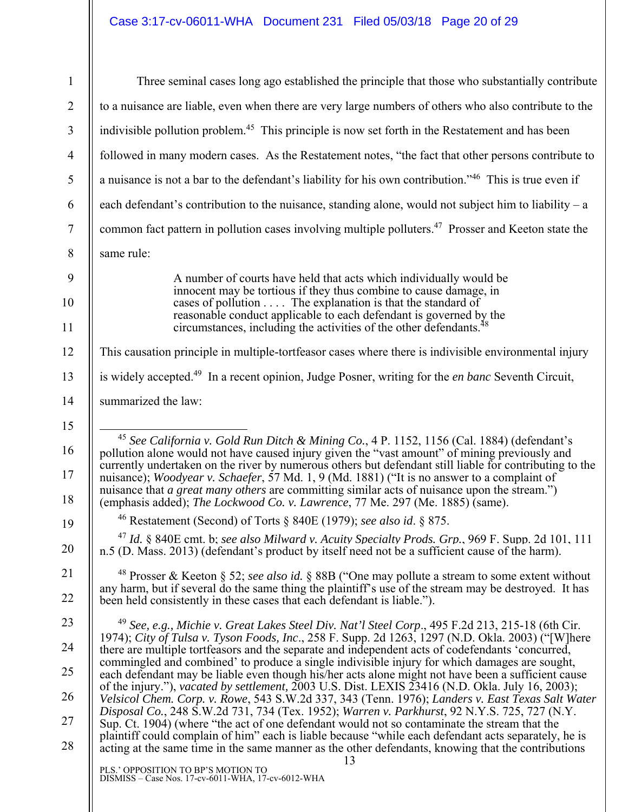| $\mathbf{1}$   | Three seminal cases long ago established the principle that those who substantially contribute                                                                                                                                                                                                                                                                                                                   |
|----------------|------------------------------------------------------------------------------------------------------------------------------------------------------------------------------------------------------------------------------------------------------------------------------------------------------------------------------------------------------------------------------------------------------------------|
| $\overline{2}$ | to a nuisance are liable, even when there are very large numbers of others who also contribute to the                                                                                                                                                                                                                                                                                                            |
| $\overline{3}$ | indivisible pollution problem. <sup>45</sup> This principle is now set forth in the Restatement and has been                                                                                                                                                                                                                                                                                                     |
| $\overline{4}$ | followed in many modern cases. As the Restatement notes, "the fact that other persons contribute to                                                                                                                                                                                                                                                                                                              |
| 5              | a nuisance is not a bar to the defendant's liability for his own contribution." <sup>46</sup> This is true even if                                                                                                                                                                                                                                                                                               |
| 6              | each defendant's contribution to the nuisance, standing alone, would not subject him to liability $-$ a                                                                                                                                                                                                                                                                                                          |
| $\tau$         | common fact pattern in pollution cases involving multiple polluters. <sup>47</sup> Prosser and Keeton state the                                                                                                                                                                                                                                                                                                  |
| $\,8\,$        | same rule:                                                                                                                                                                                                                                                                                                                                                                                                       |
| 9              | A number of courts have held that acts which individually would be                                                                                                                                                                                                                                                                                                                                               |
| 10             | innocent may be tortious if they thus combine to cause damage, in<br>cases of pollution $\dots$ . The explanation is that the standard of                                                                                                                                                                                                                                                                        |
| 11             | reasonable conduct applicable to each defendant is governed by the<br>circumstances, including the activities of the other defendants. <sup>48</sup>                                                                                                                                                                                                                                                             |
| 12             | This causation principle in multiple-tortfeasor cases where there is indivisible environmental injury                                                                                                                                                                                                                                                                                                            |
| 13             | is widely accepted. <sup>49</sup> In a recent opinion, Judge Posner, writing for the en banc Seventh Circuit,                                                                                                                                                                                                                                                                                                    |
| 14             | summarized the law:                                                                                                                                                                                                                                                                                                                                                                                              |
| 15             |                                                                                                                                                                                                                                                                                                                                                                                                                  |
| 16<br>17       | <sup>45</sup> See California v. Gold Run Ditch & Mining Co., 4 P. 1152, 1156 (Cal. 1884) (defendant's<br>pollution alone would not have caused injury given the "vast amount" of mining previously and<br>currently undertaken on the river by numerous others but defendant still liable for contributing to the<br>nuisance); Woodyear v. Schaefer, 57 Md. 1, 9 (Md. 1881) ("It is no answer to a complaint of |
| 18             | nuisance that a great many others are committing similar acts of nuisance upon the stream.")<br>(emphasis added); The Lockwood Co. v. Lawrence, 77 Me. 297 (Me. 1885) (same).                                                                                                                                                                                                                                    |
| 19             | <sup>46</sup> Restatement (Second) of Torts § 840E (1979); see also id. § 875.                                                                                                                                                                                                                                                                                                                                   |
| 20             | <sup>47</sup> Id. § 840E cmt. b; see also Milward v. Acuity Specialty Prods. Grp., 969 F. Supp. 2d 101, 111<br>n.5 (D. Mass. 2013) (defendant's product by itself need not be a sufficient cause of the harm).                                                                                                                                                                                                   |
| 21             | <sup>48</sup> Prosser & Keeton § 52; see also id. § 88B ("One may pollute a stream to some extent without<br>any harm, but if several do the same thing the plaintiff's use of the stream may be destroyed. It has                                                                                                                                                                                               |
| 22             | been held consistently in these cases that each defendant is liable.").                                                                                                                                                                                                                                                                                                                                          |
| 23             | <sup>49</sup> See, e.g., Michie v. Great Lakes Steel Div. Nat'l Steel Corp., 495 F.2d 213, 215-18 (6th Cir.                                                                                                                                                                                                                                                                                                      |
| 24             | 1974); City of Tulsa v. Tyson Foods, Inc., 258 F. Supp. 2d 1263, 1297 (N.D. Okla. 2003) ("[W]here<br>there are multiple tortfeasors and the separate and independent acts of codefendants 'concurred,                                                                                                                                                                                                            |
| 25             | commingled and combined' to produce a single indivisible injury for which damages are sought,<br>each defendant may be liable even though his/her acts alone might not have been a sufficient cause                                                                                                                                                                                                              |
| 26             | of the injury."), vacated by settlement, 2003 U.S. Dist. LEXIS 23416 (N.D. Okla. July 16, 2003);<br>Velsicol Chem. Corp. v. Rowe, 543 S.W.2d 337, 343 (Tenn. 1976); Landers v. East Texas Salt Water                                                                                                                                                                                                             |
| 27             | Disposal Co., 248 S.W.2d 731, 734 (Tex. 1952); Warren v. Parkhurst, 92 N.Y.S. 725, 727 (N.Y.<br>Sup. Ct. 1904) (where "the act of one defendant would not so contaminate the stream that the                                                                                                                                                                                                                     |
| 28             | plaintiff could complain of him" each is liable because "while each defendant acts separately, he is<br>acting at the same time in the same manner as the other defendants, knowing that the contributions<br>13                                                                                                                                                                                                 |
|                | PLS.' OPPOSITION TO BP'S MOTION TO<br>DISMISS - Case Nos. 17-cv-6011-WHA, 17-cv-6012-WHA                                                                                                                                                                                                                                                                                                                         |
|                |                                                                                                                                                                                                                                                                                                                                                                                                                  |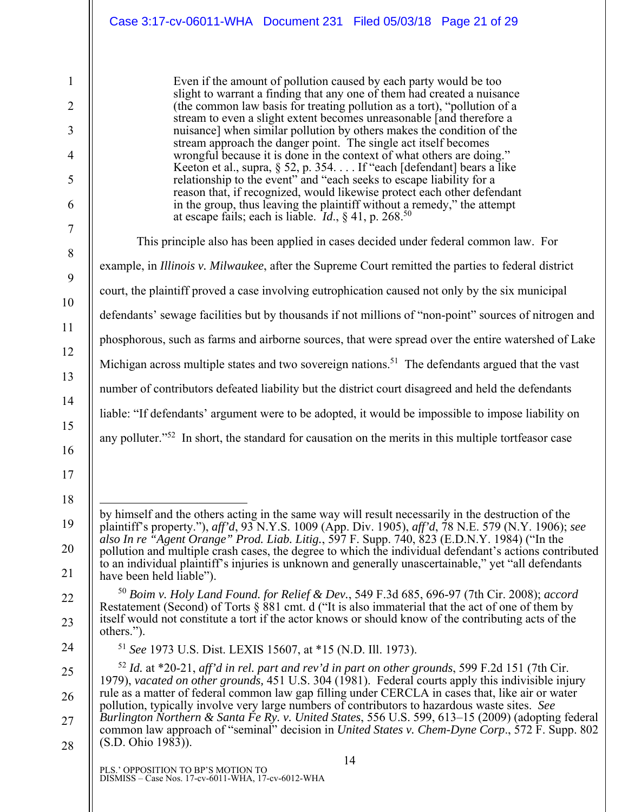|                     | Case 3:17-cv-06011-WHA  Document 231  Filed 05/03/18  Page 21 of 29                                                                                                                                                                        |
|---------------------|--------------------------------------------------------------------------------------------------------------------------------------------------------------------------------------------------------------------------------------------|
| 1                   | Even if the amount of pollution caused by each party would be too<br>slight to warrant a finding that any one of them had created a nuisance                                                                                               |
| $\overline{2}$<br>3 | (the common law basis for treating pollution as a tort), "pollution of a<br>stream to even a slight extent becomes unreasonable [and therefore a<br>nuisance] when similar pollution by others makes the condition of the                  |
| 4                   | stream approach the danger point. The single act itself becomes<br>wrongful because it is done in the context of what others are doing."                                                                                                   |
| 5                   | Keeton et al., supra, § 52, p. 354. If "each [defendant] bears a like<br>relationship to the event" and "each seeks to escape liability for a                                                                                              |
| 6                   | reason that, if recognized, would likewise protect each other defendant<br>in the group, thus leaving the plaintiff without a remedy," the attempt at escape fails; each is liable. $Id$ , § 41, p. 268. <sup>50</sup>                     |
| 7<br>$8\,$          | This principle also has been applied in cases decided under federal common law. For                                                                                                                                                        |
| 9                   | example, in Illinois v. Milwaukee, after the Supreme Court remitted the parties to federal district                                                                                                                                        |
| 10                  | court, the plaintiff proved a case involving eutrophication caused not only by the six municipal                                                                                                                                           |
| 11                  | defendants' sewage facilities but by thousands if not millions of "non-point" sources of nitrogen and                                                                                                                                      |
| 12                  | phosphorous, such as farms and airborne sources, that were spread over the entire watershed of Lake                                                                                                                                        |
| 13                  | Michigan across multiple states and two sovereign nations. <sup>51</sup> The defendants argued that the vast                                                                                                                               |
| 14                  | number of contributors defeated liability but the district court disagreed and held the defendants                                                                                                                                         |
| 15                  | liable: "If defendants' argument were to be adopted, it would be impossible to impose liability on                                                                                                                                         |
| 16                  | any polluter." <sup>52</sup> In short, the standard for causation on the merits in this multiple tortfeasor case                                                                                                                           |
| 17<br>18            |                                                                                                                                                                                                                                            |
| 19                  | by himself and the others acting in the same way will result necessarily in the destruction of the<br>plaintiff's property."), aff'd, 93 N.Y.S. 1009 (App. Div. 1905), aff'd, 78 N.E. 579 (N.Y. 1906); see                                 |
| 20                  | also In re "Agent Orange" Prod. Liab. Litig., 597 F. Supp. 740, 823 (E.D.N.Y. 1984) ("In the                                                                                                                                               |
| 21                  | pollution and multiple crash cases, the degree to which the individual defendant's actions contributed<br>to an individual plaintiff's injuries is unknown and generally unascertainable," yet "all defendants<br>have been held liable"). |
| 22                  | <sup>50</sup> Boim v. Holy Land Found. for Relief & Dev., 549 F.3d 685, 696-97 (7th Cir. 2008); accord                                                                                                                                     |
| 23                  | Restatement (Second) of Torts § 881 cmt. d ("It is also immaterial that the act of one of them by<br>itself would not constitute a tort if the actor knows or should know of the contributing acts of the<br>others.").                    |
| 24                  | <sup>51</sup> See 1973 U.S. Dist. LEXIS 15607, at *15 (N.D. Ill. 1973).                                                                                                                                                                    |
| 25                  | $52$ Id. at *20-21, aff'd in rel. part and rev'd in part on other grounds, 599 F.2d 151 (7th Cir.<br>1979), vacated on other grounds, 451 U.S. 304 (1981). Federal courts apply this indivisible injury                                    |
| 26                  | rule as a matter of federal common law gap filling under CERCLA in cases that, like air or water<br>pollution, typically involve very large numbers of contributors to hazardous waste sites. See                                          |
| 27                  | Burlington Northern & Santa Fe Ry. v. United States, 556 U.S. 599, 613–15 (2009) (adopting federal<br>common law approach of "seminal" decision in <i>United States v. Chem-Dyne Corp.</i> , 572 F. Supp. 802                              |
| 28                  | (S.D. Ohio 1983)).                                                                                                                                                                                                                         |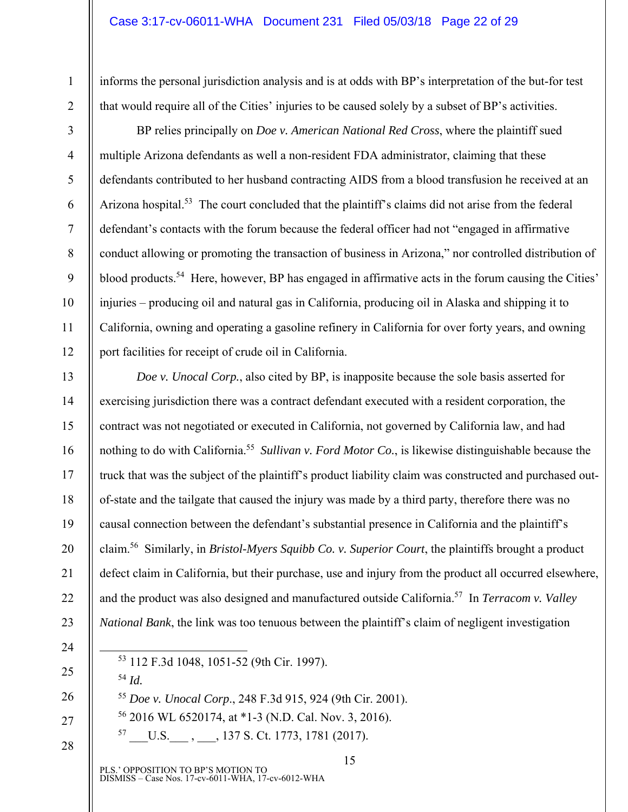informs the personal jurisdiction analysis and is at odds with BP's interpretation of the but-for test that would require all of the Cities' injuries to be caused solely by a subset of BP's activities.

1

2

3

4

5

6

7

8

9

10

11

12

13

14

15

16

17

18

19

20

21

22

23

BP relies principally on *Doe v. American National Red Cross*, where the plaintiff sued multiple Arizona defendants as well a non-resident FDA administrator, claiming that these defendants contributed to her husband contracting AIDS from a blood transfusion he received at an Arizona hospital.<sup>53</sup> The court concluded that the plaintiff's claims did not arise from the federal defendant's contacts with the forum because the federal officer had not "engaged in affirmative conduct allowing or promoting the transaction of business in Arizona," nor controlled distribution of blood products.<sup>54</sup> Here, however, BP has engaged in affirmative acts in the forum causing the Cities' injuries – producing oil and natural gas in California, producing oil in Alaska and shipping it to California, owning and operating a gasoline refinery in California for over forty years, and owning port facilities for receipt of crude oil in California.

*Doe v. Unocal Corp.*, also cited by BP, is inapposite because the sole basis asserted for exercising jurisdiction there was a contract defendant executed with a resident corporation, the contract was not negotiated or executed in California, not governed by California law, and had nothing to do with California.55 *Sullivan v. Ford Motor Co.*, is likewise distinguishable because the truck that was the subject of the plaintiff's product liability claim was constructed and purchased outof-state and the tailgate that caused the injury was made by a third party, therefore there was no causal connection between the defendant's substantial presence in California and the plaintiff's claim.56 Similarly, in *Bristol-Myers Squibb Co. v. Superior Court*, the plaintiffs brought a product defect claim in California, but their purchase, use and injury from the product all occurred elsewhere, and the product was also designed and manufactured outside California.57 In *Terracom v. Valley National Bank*, the link was too tenuous between the plaintiff's claim of negligent investigation

- 24
- 25

26

27

28

53 112 F.3d 1048, 1051-52 (9th Cir. 1997).

- <sup>54</sup> *Id.*
- <sup>55</sup> *Doe v. Unocal Corp*., 248 F.3d 915, 924 (9th Cir. 2001).
- 56 2016 WL 6520174, at \*1-3 (N.D. Cal. Nov. 3, 2016).
	- $57 \quad U.S. \quad , \quad .$ , 137 S. Ct. 1773, 1781 (2017).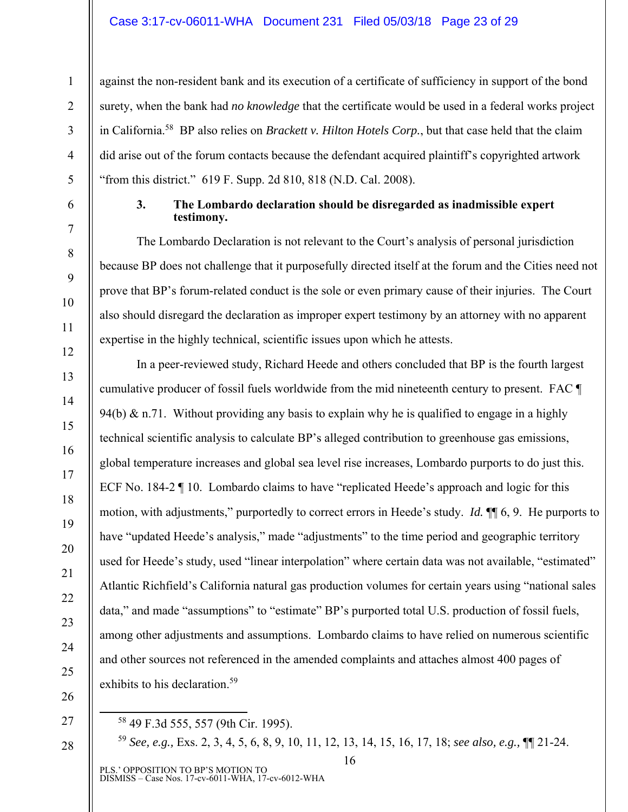#### Case 3:17-cv-06011-WHA Document 231 Filed 05/03/18 Page 23 of 29

against the non-resident bank and its execution of a certificate of sufficiency in support of the bond surety, when the bank had *no knowledge* that the certificate would be used in a federal works project in California.58 BP also relies on *Brackett v. Hilton Hotels Corp.*, but that case held that the claim did arise out of the forum contacts because the defendant acquired plaintiff's copyrighted artwork "from this district." 619 F. Supp. 2d 810, 818 (N.D. Cal. 2008).

1

2

3

4

5

6

7

8

9

10

11

12

13

14

15

16

17

18

19

20

21

22

23

24

25

26

#### **3. The Lombardo declaration should be disregarded as inadmissible expert testimony.**

The Lombardo Declaration is not relevant to the Court's analysis of personal jurisdiction because BP does not challenge that it purposefully directed itself at the forum and the Cities need not prove that BP's forum-related conduct is the sole or even primary cause of their injuries. The Court also should disregard the declaration as improper expert testimony by an attorney with no apparent expertise in the highly technical, scientific issues upon which he attests.

In a peer-reviewed study, Richard Heede and others concluded that BP is the fourth largest cumulative producer of fossil fuels worldwide from the mid nineteenth century to present. FAC ¶ 94(b) & n.71. Without providing any basis to explain why he is qualified to engage in a highly technical scientific analysis to calculate BP's alleged contribution to greenhouse gas emissions, global temperature increases and global sea level rise increases, Lombardo purports to do just this. ECF No. 184-2 ¶ 10. Lombardo claims to have "replicated Heede's approach and logic for this motion, with adjustments," purportedly to correct errors in Heede's study. *Id.* ¶¶ 6, 9. He purports to have "updated Heede's analysis," made "adjustments" to the time period and geographic territory used for Heede's study, used "linear interpolation" where certain data was not available, "estimated" Atlantic Richfield's California natural gas production volumes for certain years using "national sales data," and made "assumptions" to "estimate" BP's purported total U.S. production of fossil fuels, among other adjustments and assumptions. Lombardo claims to have relied on numerous scientific and other sources not referenced in the amended complaints and attaches almost 400 pages of exhibits to his declaration.<sup>59</sup>

27

28

58 49 F.3d 555, 557 (9th Cir. 1995).

<sup>59</sup> *See, e.g.,* Exs. 2, 3, 4, 5, 6, 8, 9, 10, 11, 12, 13, 14, 15, 16, 17, 18; *see also, e.g.,* ¶¶ 21-24.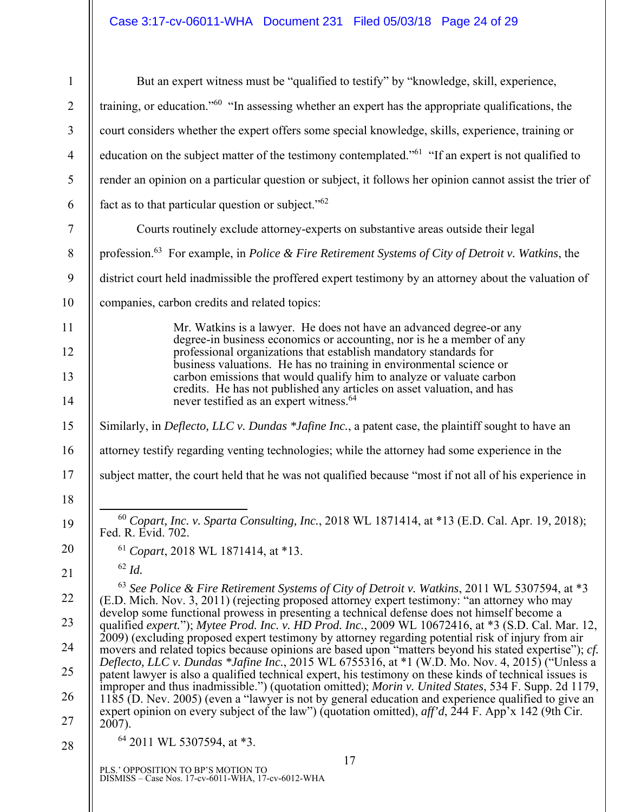# Case 3:17-cv-06011-WHA Document 231 Filed 05/03/18 Page 24 of 29

| 1              | But an expert witness must be "qualified to testify" by "knowledge, skill, experience,                                                                                                                      |
|----------------|-------------------------------------------------------------------------------------------------------------------------------------------------------------------------------------------------------------|
| $\overline{2}$ | training, or education." <sup>60</sup> "In assessing whether an expert has the appropriate qualifications, the                                                                                              |
| 3              | court considers whether the expert offers some special knowledge, skills, experience, training or                                                                                                           |
| $\overline{4}$ | education on the subject matter of the testimony contemplated." <sup>61</sup> "If an expert is not qualified to                                                                                             |
| 5              | render an opinion on a particular question or subject, it follows her opinion cannot assist the trier of                                                                                                    |
| 6              | fact as to that particular question or subject." <sup>62</sup>                                                                                                                                              |
| $\tau$         | Courts routinely exclude attorney-experts on substantive areas outside their legal                                                                                                                          |
| 8              | profession. <sup>63</sup> For example, in <i>Police &amp; Fire Retirement Systems of City of Detroit v. Watkins</i> , the                                                                                   |
| 9              | district court held inadmissible the proffered expert testimony by an attorney about the valuation of                                                                                                       |
| 10             | companies, carbon credits and related topics:                                                                                                                                                               |
| 11             | Mr. Watkins is a lawyer. He does not have an advanced degree-or any                                                                                                                                         |
| 12             | degree-in business economics or accounting, nor is he a member of any<br>professional organizations that establish mandatory standards for                                                                  |
| 13             | business valuations. He has no training in environmental science or<br>carbon emissions that would qualify him to analyze or valuate carbon                                                                 |
| 14             | credits. He has not published any articles on asset valuation, and has<br>never testified as an expert witness. <sup>64</sup>                                                                               |
| 15             | Similarly, in Deflecto, LLC v. Dundas *Jafine Inc., a patent case, the plaintiff sought to have an                                                                                                          |
| 16             | attorney testify regarding venting technologies; while the attorney had some experience in the                                                                                                              |
| 17             | subject matter, the court held that he was not qualified because "most if not all of his experience in                                                                                                      |
| 18             |                                                                                                                                                                                                             |
| 19             | <sup>60</sup> Copart, Inc. v. Sparta Consulting, Inc., 2018 WL 1871414, at *13 (E.D. Cal. Apr. 19, 2018);<br>Fed. R. Evid. 702.                                                                             |
| 20             | $61$ Copart, 2018 WL 1871414, at *13.                                                                                                                                                                       |
| 21             | $62$ Id.                                                                                                                                                                                                    |
| 22             | $^{63}$ See Police & Fire Retirement Systems of City of Detroit v. Watkins, 2011 WL 5307594, at *3<br>(E.D. Mich. Nov. 3, 2011) (rejecting proposed attorney expert testimony: "an attorney who may         |
| 23             | develop some functional prowess in presenting a technical defense does not himself become a<br>qualified expert."); Mytee Prod. Inc. v. HD Prod. Inc., 2009 WL 10672416, at *3 (S.D. Cal. Mar. 12,          |
| 24             | 2009) (excluding proposed expert testimony by attorney regarding potential risk of injury from air<br>movers and related topics because opinions are based upon "matters beyond his stated expertise"); cf. |
| 25             | Deflecto, LLC v. Dundas *Jafine Inc., 2015 WL 6755316, at *1 (W.D. Mo. Nov. 4, 2015) ("Unless a<br>patent lawyer is also a qualified technical expert, his testimony on these kinds of technical issues is  |
| 26             | improper and thus inadmissible.") (quotation omitted); Morin v. United States, 534 F. Supp. 2d 1179,<br>1185 (D. Nev. 2005) (even a "lawyer is not by general education and experience qualified to give an |
| 27             | expert opinion on every subject of the law") (quotation omitted), $aff'd$ , 244 F. App'x 142 (9th Cir.<br>2007).                                                                                            |
| 28             | $64$ 2011 WL 5307594, at $*3$ .                                                                                                                                                                             |
|                | 17<br>PLS.' OPPOSITION TO BP'S MOTION TO                                                                                                                                                                    |
|                | DISMISS - Case Nos. 17-cv-6011-WHA, 17-cv-6012-WHA                                                                                                                                                          |
|                |                                                                                                                                                                                                             |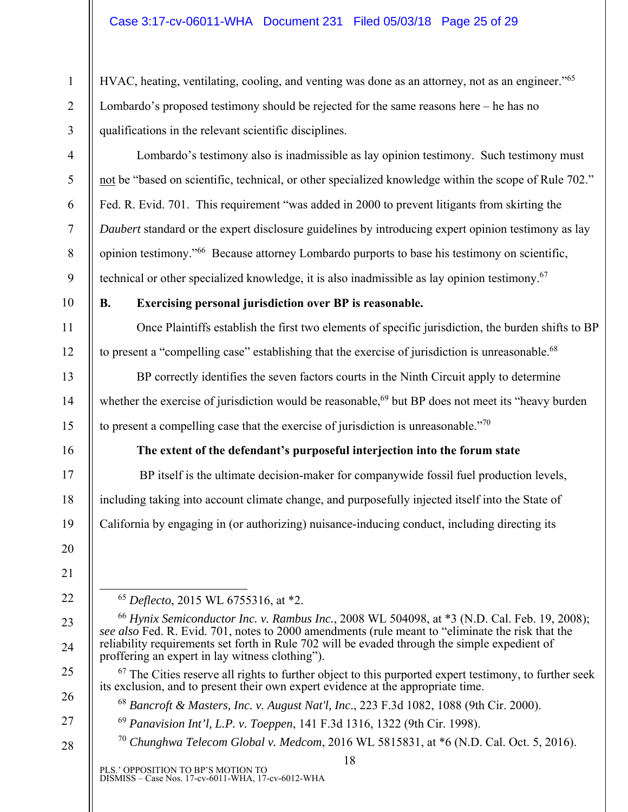HVAC, heating, ventilating, cooling, and venting was done as an attorney, not as an engineer."<sup>65</sup> Lombardo's proposed testimony should be rejected for the same reasons here – he has no qualifications in the relevant scientific disciplines.

- Lombardo's testimony also is inadmissible as lay opinion testimony. Such testimony must not be "based on scientific, technical, or other specialized knowledge within the scope of Rule 702." Fed. R. Evid. 701. This requirement "was added in 2000 to prevent litigants from skirting the *Daubert* standard or the expert disclosure guidelines by introducing expert opinion testimony as lay opinion testimony."66 Because attorney Lombardo purports to base his testimony on scientific, technical or other specialized knowledge, it is also inadmissible as lay opinion testimony.67
- 10

11

12

13

14

15

16

17

18

19

20

21

22

23

24

25

26

27

28

1

2

3

4

5

6

7

8

9

# **B. Exercising personal jurisdiction over BP is reasonable.**

Once Plaintiffs establish the first two elements of specific jurisdiction, the burden shifts to BP to present a "compelling case" establishing that the exercise of jurisdiction is unreasonable.<sup>68</sup>

BP correctly identifies the seven factors courts in the Ninth Circuit apply to determine whether the exercise of jurisdiction would be reasonable,<sup>69</sup> but BP does not meet its "heavy burden" to present a compelling case that the exercise of jurisdiction is unreasonable."70

# **The extent of the defendant's purposeful interjection into the forum state**

 BP itself is the ultimate decision-maker for companywide fossil fuel production levels, including taking into account climate change, and purposefully injected itself into the State of California by engaging in (or authorizing) nuisance-inducing conduct, including directing its

65 *Deflecto*, 2015 WL 6755316, at \*2.

 $67$  The Cities reserve all rights to further object to this purported expert testimony, to further seek its exclusion, and to present their own expert evidence at the appropriate time.

<sup>70</sup> *Chunghwa Telecom Global v. Medcom*, 2016 WL 5815831, at \*6 (N.D. Cal. Oct. 5, 2016).

<sup>66</sup> *Hynix Semiconductor Inc. v. Rambus Inc.*, 2008 WL 504098, at \*3 (N.D. Cal. Feb. 19, 2008); *see also* Fed. R. Evid. 701, notes to 2000 amendments (rule meant to "eliminate the risk that the reliability requirements set forth in Rule 702 will be evaded through the simple expedient of proffering an expert in lay witness clothing").

<sup>68</sup> *Bancroft & Masters, Inc. v. August Nat'l, Inc*., 223 F.3d 1082, 1088 (9th Cir. 2000).

<sup>69</sup> *Panavision Int'l, L.P. v. Toeppen*, 141 F.3d 1316, 1322 (9th Cir. 1998).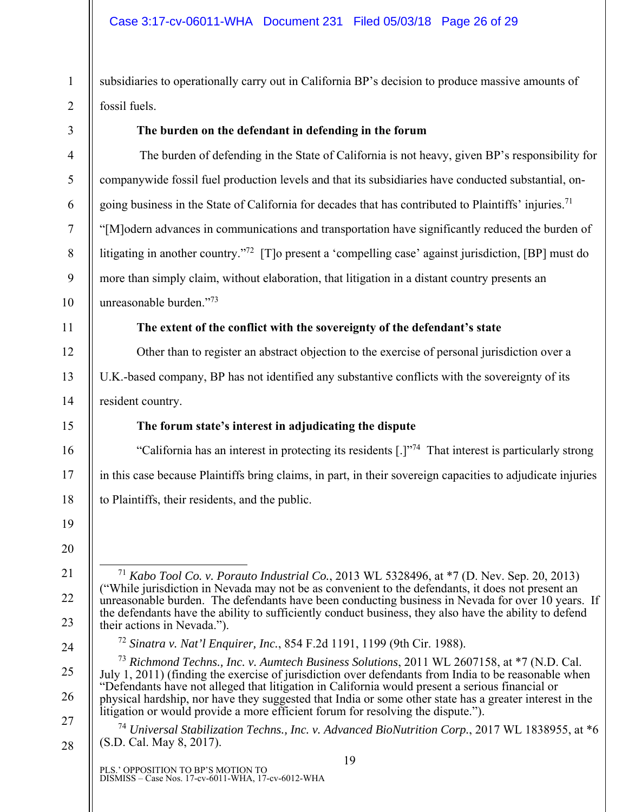1

2

subsidiaries to operationally carry out in California BP's decision to produce massive amounts of fossil fuels.

| 3                | The burden on the defendant in defending in the forum                                                                                                                                                         |  |
|------------------|---------------------------------------------------------------------------------------------------------------------------------------------------------------------------------------------------------------|--|
| $\overline{4}$   | The burden of defending in the State of California is not heavy, given BP's responsibility for                                                                                                                |  |
| $\mathfrak{S}$   | companywide fossil fuel production levels and that its subsidiaries have conducted substantial, on-                                                                                                           |  |
| 6                | going business in the State of California for decades that has contributed to Plaintiffs' injuries. <sup>71</sup>                                                                                             |  |
| $\overline{7}$   | "[M]odern advances in communications and transportation have significantly reduced the burden of                                                                                                              |  |
| $\, 8$           | litigating in another country." <sup>72</sup> [T]o present a 'compelling case' against jurisdiction, [BP] must do                                                                                             |  |
| $\boldsymbol{9}$ | more than simply claim, without elaboration, that litigation in a distant country presents an                                                                                                                 |  |
| 10               | unreasonable burden."73                                                                                                                                                                                       |  |
| 11               | The extent of the conflict with the sovereignty of the defendant's state                                                                                                                                      |  |
| 12               | Other than to register an abstract objection to the exercise of personal jurisdiction over a                                                                                                                  |  |
| 13               | U.K.-based company, BP has not identified any substantive conflicts with the sovereignty of its                                                                                                               |  |
| 14               | resident country.                                                                                                                                                                                             |  |
| 15               | The forum state's interest in adjudicating the dispute                                                                                                                                                        |  |
| 16               | "California has an interest in protecting its residents [.]" <sup>74</sup> That interest is particularly strong                                                                                               |  |
| 17               | in this case because Plaintiffs bring claims, in part, in their sovereign capacities to adjudicate injuries                                                                                                   |  |
| 18               | to Plaintiffs, their residents, and the public.                                                                                                                                                               |  |
| 19               |                                                                                                                                                                                                               |  |
| 20               |                                                                                                                                                                                                               |  |
| 21               | <sup>71</sup> Kabo Tool Co. v. Porauto Industrial Co., 2013 WL 5328496, at *7 (D. Nev. Sep. 20, 2013)                                                                                                         |  |
| 22               | While jurisdiction in Nevada may not be as convenient to the defendants, it does not present an<br>unreasonable burden. The defendants have been conducting business in Nevada for over 10 years. If          |  |
| 23               | the defendants have the ability to sufficiently conduct business, they also have the ability to defend<br>their actions in Nevada.").                                                                         |  |
| 24               | <sup>72</sup> Sinatra v. Nat'l Enquirer, Inc., 854 F.2d 1191, 1199 (9th Cir. 1988).                                                                                                                           |  |
| 25               | <sup>73</sup> Richmond Techns., Inc. v. Aumtech Business Solutions, 2011 WL 2607158, at *7 (N.D. Cal.<br>July 1, 2011) (finding the exercise of jurisdiction over defendants from India to be reasonable when |  |
| 26               | "Defendants have not alleged that litigation in California would present a serious financial or<br>physical hardship, nor have they suggested that India or some other state has a greater interest in the    |  |
| 27               | litigation or would provide a more efficient forum for resolving the dispute.").<br><sup>74</sup> Universal Stabilization Techns., Inc. v. Advanced BioNutrition Corp., 2017 WL 1838955, at *6                |  |
| 28               | (S.D. Cal. May 8, 2017).                                                                                                                                                                                      |  |
|                  | 19<br>PLS.' OPPOSITION TO BP'S MOTION TO<br>DISMISS - Case Nos. 17-cv-6011-WHA, 17-cv-6012-WHA                                                                                                                |  |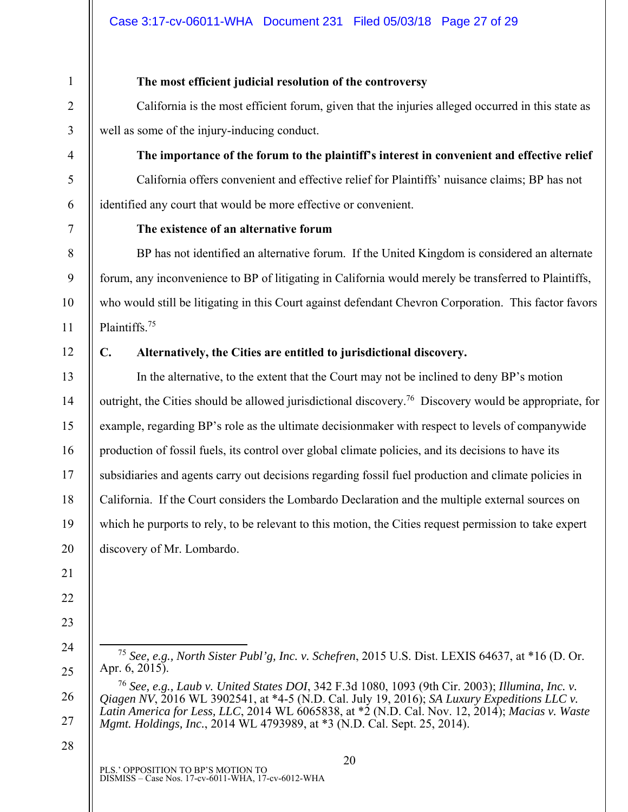# 1 2 3 4 5 6 7 8 9 10 11 12 13 14 15 16 17 18 19 20 21 22 23 24

#### **The most efficient judicial resolution of the controversy**

California is the most efficient forum, given that the injuries alleged occurred in this state as well as some of the injury-inducing conduct.

**The importance of the forum to the plaintiff's interest in convenient and effective relief** 

California offers convenient and effective relief for Plaintiffs' nuisance claims; BP has not identified any court that would be more effective or convenient.

## **The existence of an alternative forum**

BP has not identified an alternative forum. If the United Kingdom is considered an alternate forum, any inconvenience to BP of litigating in California would merely be transferred to Plaintiffs, who would still be litigating in this Court against defendant Chevron Corporation. This factor favors Plaintiffs.75

# **C. Alternatively, the Cities are entitled to jurisdictional discovery.**

In the alternative, to the extent that the Court may not be inclined to deny BP's motion outright, the Cities should be allowed jurisdictional discovery.<sup>76</sup> Discovery would be appropriate, for example, regarding BP's role as the ultimate decisionmaker with respect to levels of companywide production of fossil fuels, its control over global climate policies, and its decisions to have its subsidiaries and agents carry out decisions regarding fossil fuel production and climate policies in California. If the Court considers the Lombardo Declaration and the multiple external sources on which he purports to rely, to be relevant to this motion, the Cities request permission to take expert discovery of Mr. Lombardo.

28

25

 <sup>75</sup> *See, e.g., North Sister Publ'g, Inc. v. Schefren*, 2015 U.S. Dist. LEXIS 64637, at \*16 (D. Or. Apr. 6, 2015).

<sup>26</sup>  27 <sup>76</sup> *See, e.g., Laub v. United States DOI*, 342 F.3d 1080, 1093 (9th Cir. 2003); *Illumina, Inc. v. Qiagen NV*, 2016 WL 3902541, at \*4-5 (N.D. Cal. July 19, 2016); *SA Luxury Expeditions LLC v. Latin America for Less, LLC*, 2014 WL 6065838, at \*2 (N.D. Cal. Nov. 12, 2014); *Macias v. Waste Mgmt. Holdings, Inc.*, 2014 WL 4793989, at \*3 (N.D. Cal. Sept. 25, 2014).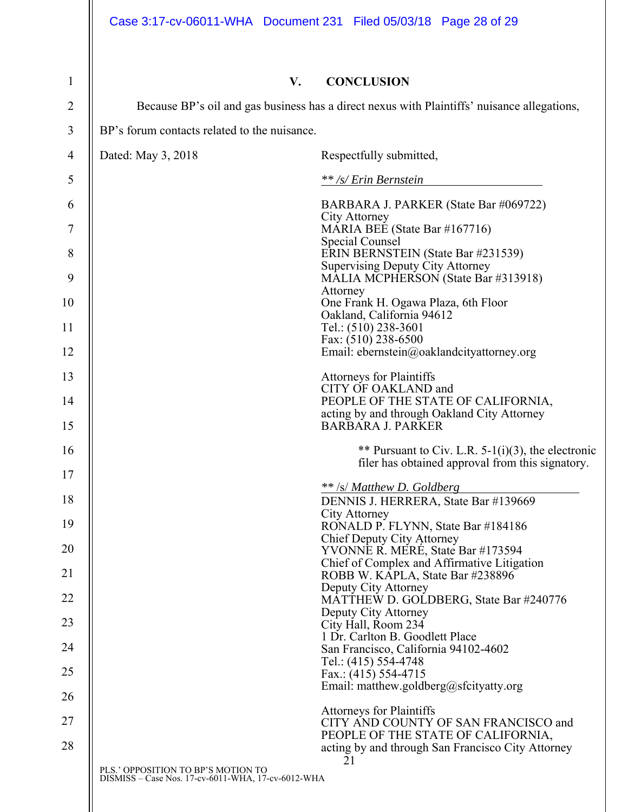| 1  | V.                                                                                          | <b>CONCLUSION</b>                                                                       |
|----|---------------------------------------------------------------------------------------------|-----------------------------------------------------------------------------------------|
| 2  | Because BP's oil and gas business has a direct nexus with Plaintiffs' nuisance allegations, |                                                                                         |
| 3  | BP's forum contacts related to the nuisance.                                                |                                                                                         |
| 4  | Dated: May 3, 2018                                                                          | Respectfully submitted,                                                                 |
| 5  |                                                                                             | ** /s/ Erin Bernstein                                                                   |
| 6  |                                                                                             | BARBARA J. PARKER (State Bar #069722)                                                   |
| 7  |                                                                                             | City Attorney<br>MARIA BEE (State Bar #167716)                                          |
| 8  |                                                                                             | Special Counsel<br>ERIN BERNSTEIN (State Bar #231539)                                   |
| 9  |                                                                                             | <b>Supervising Deputy City Attorney</b><br>MALIA MCPHERSON (State Bar #313918)          |
| 10 |                                                                                             | Attorney<br>One Frank H. Ogawa Plaza, 6th Floor                                         |
| 11 |                                                                                             | Oakland, California 94612<br>Tel.: (510) 238-3601                                       |
| 12 |                                                                                             | Fax: (510) 238-6500<br>Email: ebernstein@oaklandcityattorney.org                        |
| 13 |                                                                                             | Attorneys for Plaintiffs                                                                |
| 14 |                                                                                             | CITY OF OAKLAND and<br>PEOPLE OF THE STATE OF CALIFORNIA,                               |
| 15 |                                                                                             | acting by and through Oakland City Attorney<br><b>BARBARA J. PARKER</b>                 |
| 16 |                                                                                             | ** Pursuant to Civ. L.R. $5-1(i)(3)$ , the electronic                                   |
| 17 |                                                                                             | filer has obtained approval from this signatory.                                        |
| 18 |                                                                                             | ** /s/ Matthew D. Goldberg<br>DENNIS J. HERRERA, State Bar #139669                      |
| 19 |                                                                                             | <b>City Attorney</b><br>RONALD P. FLYNN, State Bar #184186                              |
| 20 |                                                                                             | <b>Chief Deputy City Attorney</b><br>YVONNE R. MERÉ, State Bar #173594                  |
| 21 |                                                                                             | Chief of Complex and Affirmative Litigation<br>ROBB W. KAPLA, State Bar #238896         |
| 22 |                                                                                             | Deputy City Attorney<br>MATTHEW D. GOLDBERG, State Bar #240776                          |
| 23 |                                                                                             | Deputy City Attorney<br>City Hall, Room 234                                             |
| 24 |                                                                                             | 1 Dr. Carlton B. Goodlett Place<br>San Francisco, California 94102-4602                 |
| 25 |                                                                                             | Tel.: (415) 554-4748<br>Fax.: $(415)$ 554-4715                                          |
| 26 |                                                                                             | Email: matthew.goldberg@sfcityatty.org                                                  |
| 27 |                                                                                             | <b>Attorneys for Plaintiffs</b><br>CITY AND COUNTY OF SAN FRANCISCO and                 |
| 28 |                                                                                             | PEOPLE OF THE STATE OF CALIFORNIA,<br>acting by and through San Francisco City Attorney |
|    |                                                                                             | 21                                                                                      |
|    | PLS.' OPPOSITION TO BP'S MOTION TO<br>DISMISS - Case Nos. 17-cv-6011-WHA, 17-cv-6012-WHA    |                                                                                         |
|    |                                                                                             |                                                                                         |